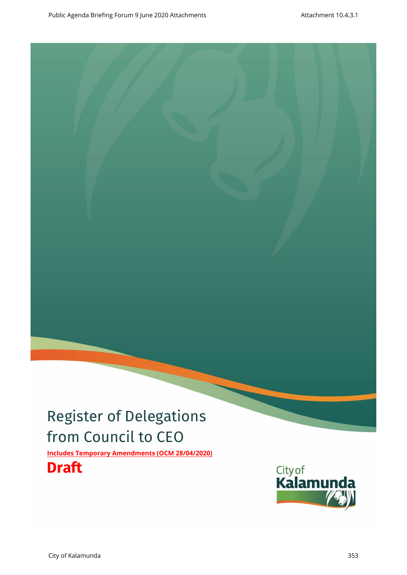# Register of Delegations from Council to CEO

**Includes Temporary Amendments (OCM 28/04/2020)**

## **Draft**

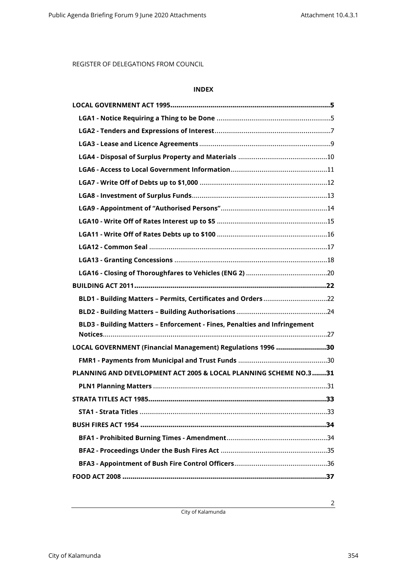### **INDEX**

| BLD1 - Building Matters - Permits, Certificates and Orders 22             |
|---------------------------------------------------------------------------|
|                                                                           |
| BLD3 - Building Matters - Enforcement - Fines, Penalties and Infringement |
|                                                                           |
| LOCAL GOVERNMENT (Financial Management) Regulations 1996 30               |
|                                                                           |
| PLANNING AND DEVELOPMENT ACT 2005 & LOCAL PLANNING SCHEME NO.3 31         |
|                                                                           |
|                                                                           |
|                                                                           |
|                                                                           |
|                                                                           |
|                                                                           |
|                                                                           |

City of Kalamunda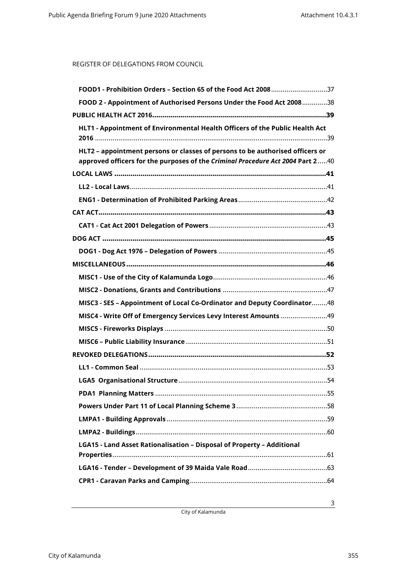| FOOD1 - Prohibition Orders - Section 65 of the Food Act 200837                                                                                                |
|---------------------------------------------------------------------------------------------------------------------------------------------------------------|
| FOOD 2 - Appointment of Authorised Persons Under the Food Act 200838                                                                                          |
|                                                                                                                                                               |
| HLT1 - Appointment of Environmental Health Officers of the Public Health Act<br>HLT2 - appointment persons or classes of persons to be authorised officers or |
| approved officers for the purposes of the Criminal Procedure Act 2004 Part 240                                                                                |
|                                                                                                                                                               |
|                                                                                                                                                               |
|                                                                                                                                                               |
|                                                                                                                                                               |
|                                                                                                                                                               |
|                                                                                                                                                               |
|                                                                                                                                                               |
|                                                                                                                                                               |
|                                                                                                                                                               |
|                                                                                                                                                               |
| MISC3 - SES - Appointment of Local Co-Ordinator and Deputy Coordinator48                                                                                      |
|                                                                                                                                                               |
|                                                                                                                                                               |
|                                                                                                                                                               |
|                                                                                                                                                               |
|                                                                                                                                                               |
|                                                                                                                                                               |
|                                                                                                                                                               |
|                                                                                                                                                               |
|                                                                                                                                                               |
|                                                                                                                                                               |
| LGA15 - Land Asset Rationalisation - Disposal of Property - Additional                                                                                        |
|                                                                                                                                                               |
|                                                                                                                                                               |

City of Kalamunda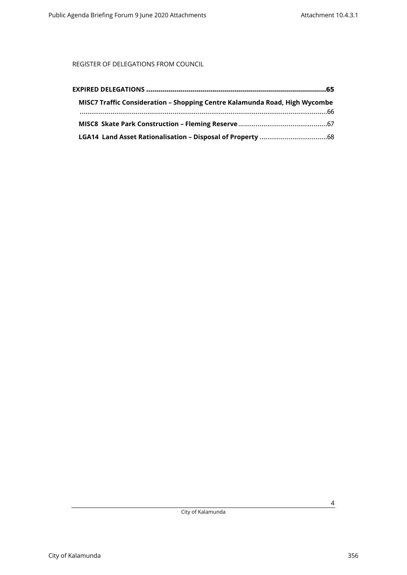| MISC7 Traffic Consideration - Shopping Centre Kalamunda Road, High Wycombe |  |
|----------------------------------------------------------------------------|--|
|                                                                            |  |
|                                                                            |  |
|                                                                            |  |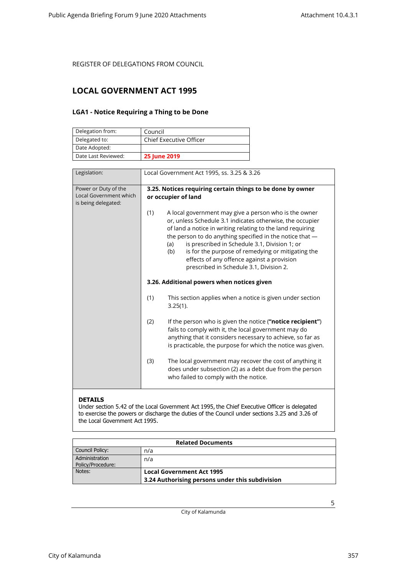### <span id="page-4-1"></span><span id="page-4-0"></span>**LOCAL GOVERNMENT ACT 1995**

### **LGA1 - Notice Requiring a Thing to be Done**

| Delegation from:    | Council                        |
|---------------------|--------------------------------|
| Delegated to:       | <b>Chief Executive Officer</b> |
| Date Adopted:       |                                |
| Date Last Reviewed: | <b>25 June 2019</b>            |

| Legislation:                                                          | Local Government Act 1995, ss. 3.25 & 3.26                                                                                                                                                                                                                                                                                                                                                                                                                       |
|-----------------------------------------------------------------------|------------------------------------------------------------------------------------------------------------------------------------------------------------------------------------------------------------------------------------------------------------------------------------------------------------------------------------------------------------------------------------------------------------------------------------------------------------------|
| Power or Duty of the<br>Local Government which<br>is being delegated: | 3.25. Notices requiring certain things to be done by owner<br>or occupier of land                                                                                                                                                                                                                                                                                                                                                                                |
|                                                                       | (1)<br>A local government may give a person who is the owner<br>or, unless Schedule 3.1 indicates otherwise, the occupier<br>of land a notice in writing relating to the land requiring<br>the person to do anything specified in the notice that -<br>is prescribed in Schedule 3.1, Division 1; or<br>(a)<br>is for the purpose of remedying or mitigating the<br>(b)<br>effects of any offence against a provision<br>prescribed in Schedule 3.1, Division 2. |
|                                                                       | 3.26. Additional powers when notices given                                                                                                                                                                                                                                                                                                                                                                                                                       |
|                                                                       | (1)<br>This section applies when a notice is given under section<br>$3.25(1)$ .                                                                                                                                                                                                                                                                                                                                                                                  |
|                                                                       | (2)<br>If the person who is given the notice ("notice recipient")<br>fails to comply with it, the local government may do<br>anything that it considers necessary to achieve, so far as<br>is practicable, the purpose for which the notice was given.                                                                                                                                                                                                           |
|                                                                       | The local government may recover the cost of anything it<br>(3)<br>does under subsection (2) as a debt due from the person<br>who failed to comply with the notice.                                                                                                                                                                                                                                                                                              |

### **DETAILS**

Under section 5.42 of the Local Government Act 1995, the Chief Executive Officer is delegated to exercise the powers or discharge the duties of the Council under sections 3.25 and 3.26 of the Local Government Act 1995.

| <b>Related Documents</b>            |                                                 |
|-------------------------------------|-------------------------------------------------|
| Council Policy:                     | n/a                                             |
| Administration<br>Policy/Procedure: | n/a                                             |
| Notes:                              | <b>Local Government Act 1995</b>                |
|                                     | 3.24 Authorising persons under this subdivision |

City of Kalamunda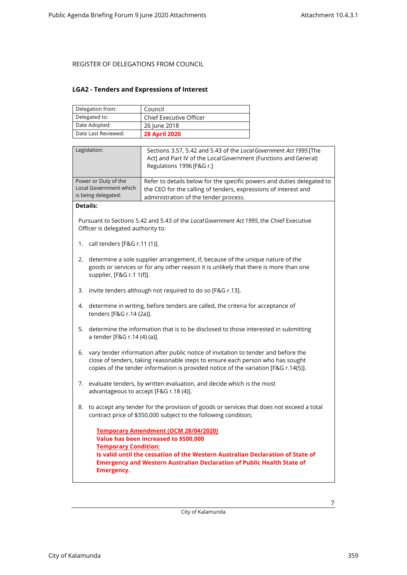#### <span id="page-6-0"></span>**LGA2 - Tenders and Expressions of Interest**

| Delegation from:    | Council                        |
|---------------------|--------------------------------|
| Delegated to:       | <b>Chief Executive Officer</b> |
| Date Adopted:       | 26 June 2018                   |
| Date Last Reviewed: | <b>28 April 2020</b>           |

| Legislation:                                                          | Sections 3.57, 5.42 and 5.43 of the Local Government Act 1995 [The<br>Act] and Part IV of the Local Government (Functions and General)<br>Regulations 1996 [F&G r.]                |
|-----------------------------------------------------------------------|------------------------------------------------------------------------------------------------------------------------------------------------------------------------------------|
| Power or Duty of the<br>Local Government which<br>is being delegated: | Refer to details below for the specific powers and duties delegated to<br>the CEO for the calling of tenders, expressions of interest and<br>administration of the tender process. |
| $R = 11$                                                              |                                                                                                                                                                                    |

#### **Details:**

Pursuant to Sections 5.42 and 5.43 of the *Local Government Act 1995*, the Chief Executive Officer is delegated authority to:

- 1. call tenders [F&G r.11 (1)].
- 2. determine a sole supplier arrangement, if, because of the unique nature of the goods or services or for any other reason it is unlikely that there is more than one supplier, [F&G r.1 1(f)].
- 3. invite tenders although not required to do so [F&G r.13].
- 4. determine in writing, before tenders are called, the criteria for acceptance of tenders [F&G r.14 (2a)].
- 5. determine the information that is to be disclosed to those interested in submitting a tender [F&G r.14 (4) (a)].
- 6. vary tender information after public notice of invitation to tender and before the close of tenders, taking reasonable steps to ensure each person who has sought copies of the tender information is provided notice of the variation [F&G r.14(5)].
- 7. evaluate tenders, by written evaluation, and decide which is the most advantageous to accept [F&G r.18 (4)].
- 8. to accept any tender for the provision of goods or services that does not exceed a total contract price of \$350,000 subject to the following condition;

```
Temporary Amendment (OCM 28/04/2020)
Value has been increased to $500,000
Temporary Condition:
Is valid until the cessation of the Western Australian Declaration of State of 
Emergency and Western Australian Declaration of Public Health State of 
Emergency.
```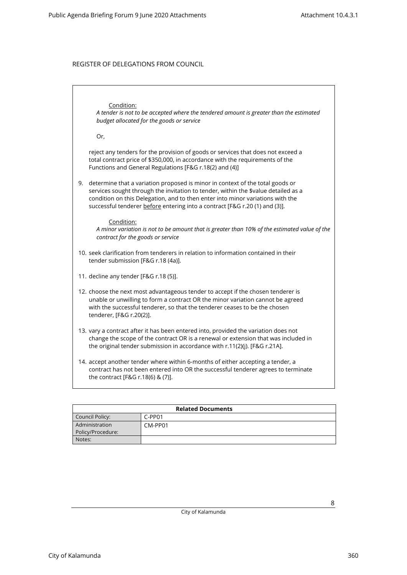### Condition:

*A tender is not to be accepted where the tendered amount is greater than the estimated budget allocated for the goods or service*

Or,

reject any tenders for the provision of goods or services that does not exceed a total contract price of \$350,000, in accordance with the requirements of the Functions and General Regulations [F&G r.18(2) and (4)]

9. determine that a variation proposed is minor in context of the total goods or services sought through the invitation to tender, within the \$value detailed as a condition on this Delegation, and to then enter into minor variations with the successful tenderer before entering into a contract [F&G r.20 (1) and (3)].

#### Condition:

*A minor variation is not to be amount that is greater than 10% of the estimated value of the contract for the goods or service*

- 10. seek clarification from tenderers in relation to information contained in their tender submission [F&G r.18 (4a)].
- 11. decline any tender [F&G r.18 (5)].
- 12. choose the next most advantageous tender to accept if the chosen tenderer is unable or unwilling to form a contract OR the minor variation cannot be agreed with the successful tenderer, so that the tenderer ceases to be the chosen tenderer, [F&G r.20(2)].
- 13. vary a contract after it has been entered into, provided the variation does not change the scope of the contract OR is a renewal or extension that was included in the original tender submission in accordance with r.11(2)(j). [F&G r.21A].
- 14. accept another tender where within 6-months of either accepting a tender, a contract has not been entered into OR the successful tenderer agrees to terminate the contract [F&G r.18(6) & (7)].

| <b>Related Documents</b> |          |  |
|--------------------------|----------|--|
| Council Policy:          | $C-PP01$ |  |
| Administration           | CM-PP01  |  |
| Policy/Procedure:        |          |  |
| Notes:                   |          |  |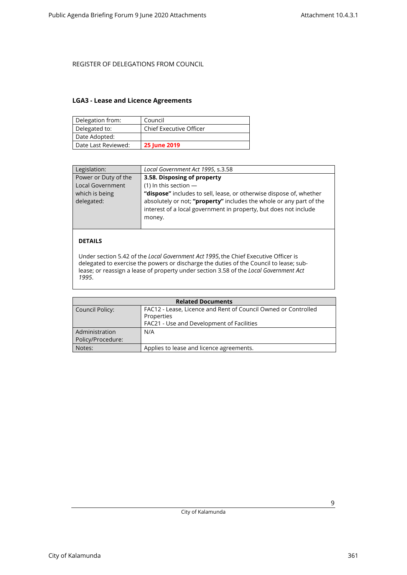### <span id="page-8-0"></span>**LGA3 - Lease and Licence Agreements**

| Delegation from:    | Council                        |
|---------------------|--------------------------------|
| Delegated to:       | <b>Chief Executive Officer</b> |
| Date Adopted:       |                                |
| Date Last Reviewed: | <b>25 June 2019</b>            |

| Legislation:            | Local Government Act 1995, s.3.58                                   |
|-------------------------|---------------------------------------------------------------------|
| Power or Duty of the    | 3.58. Disposing of property                                         |
| <b>Local Government</b> | $(1)$ In this section $-$                                           |
| which is being          | "dispose" includes to sell, lease, or otherwise dispose of, whether |
| delegated:              | absolutely or not; "property" includes the whole or any part of the |
|                         | interest of a local government in property, but does not include    |
|                         | money.                                                              |
|                         |                                                                     |

#### **DETAILS**

Under section 5.42 of the *Local Government Act 1995*, the Chief Executive Officer is delegated to exercise the powers or discharge the duties of the Council to lease; sublease; or reassign a lease of property under section 3.58 of the *Local Government Act 1995*.

| <b>Related Documents</b> |                                                                |  |
|--------------------------|----------------------------------------------------------------|--|
| Council Policy:          | FAC12 - Lease, Licence and Rent of Council Owned or Controlled |  |
|                          | Properties                                                     |  |
|                          | FAC21 - Use and Development of Facilities                      |  |
| Administration           | N/A                                                            |  |
| Policy/Procedure:        |                                                                |  |
| Notes:                   | Applies to lease and licence agreements.                       |  |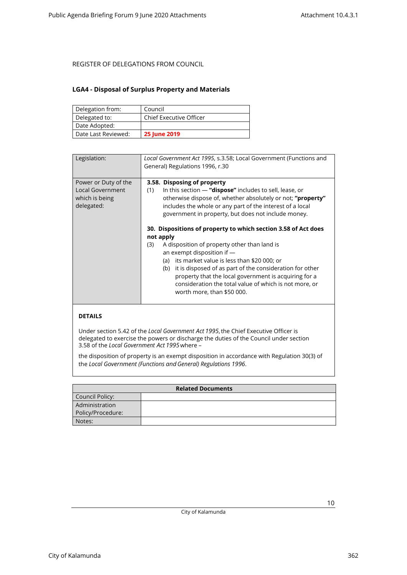### <span id="page-9-0"></span>**LGA4 - Disposal of Surplus Property and Materials**

| Delegation from:    | Council                        |
|---------------------|--------------------------------|
| Delegated to:       | <b>Chief Executive Officer</b> |
| Date Adopted:       |                                |
| Date Last Reviewed: | <b>25 June 2019</b>            |

| Legislation:                                                                    | Local Government Act 1995, s.3.58; Local Government (Functions and<br>General) Regulations 1996, r.30                                                                                                                                                                                                                                                                                                                                  |
|---------------------------------------------------------------------------------|----------------------------------------------------------------------------------------------------------------------------------------------------------------------------------------------------------------------------------------------------------------------------------------------------------------------------------------------------------------------------------------------------------------------------------------|
| Power or Duty of the<br><b>Local Government</b><br>which is being<br>delegated: | 3.58. Disposing of property<br>In this section $-$ "dispose" includes to sell, lease, or<br>(1)<br>otherwise dispose of, whether absolutely or not; " <b>property"</b><br>includes the whole or any part of the interest of a local<br>government in property, but does not include money.                                                                                                                                             |
|                                                                                 | 30. Dispositions of property to which section 3.58 of Act does<br>not apply<br>A disposition of property other than land is<br>(3)<br>an exempt disposition if -<br>(a) its market value is less than \$20 000; or<br>it is disposed of as part of the consideration for other<br>(b)<br>property that the local government is acquiring for a<br>consideration the total value of which is not more, or<br>worth more, than \$50 000. |
|                                                                                 |                                                                                                                                                                                                                                                                                                                                                                                                                                        |

### **DETAILS**

Under section 5.42 of the *Local Government Act 1995*, the Chief Executive Officer is delegated to exercise the powers or discharge the duties of the Council under section 3.58 of the *Local Government Act 1995*where –

the disposition of property is an exempt disposition in accordance with Regulation 30(3) of the *Local Government (Functions and General) Regulations 1996*.

| <b>Related Documents</b> |  |
|--------------------------|--|
| Council Policy:          |  |
| Administration           |  |
| Policy/Procedure:        |  |
| Notes:                   |  |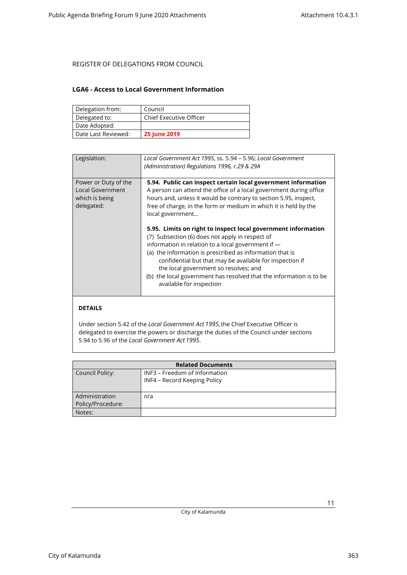### <span id="page-10-0"></span>**LGA6 - Access to Local Government Information**

| Delegation from:    | Council                        |
|---------------------|--------------------------------|
| Delegated to:       | <b>Chief Executive Officer</b> |
| Date Adopted:       |                                |
| Date Last Reviewed: | <b>25 June 2019</b>            |

| Legislation:            | Local Government Act 1995, ss. 5.94 - 5.96; Local Government        |
|-------------------------|---------------------------------------------------------------------|
|                         | (Administration) Regulations 1996, r.29 & 29A                       |
|                         |                                                                     |
|                         |                                                                     |
| Power or Duty of the    | 5.94. Public can inspect certain local government information       |
| <b>Local Government</b> | A person can attend the office of a local government during office  |
| which is being          | hours and, unless it would be contrary to section 5.95, inspect,    |
| delegated:              | free of charge, in the form or medium in which it is held by the    |
|                         | local government                                                    |
|                         |                                                                     |
|                         | 5.95. Limits on right to inspect local government information       |
|                         |                                                                     |
|                         | (7) Subsection (6) does not apply in respect of                     |
|                         | information in relation to a local government if -                  |
|                         | (a) the information is prescribed as information that is            |
|                         | confidential but that may be available for inspection if            |
|                         | the local government so resolves; and                               |
|                         |                                                                     |
|                         | (b) the local government has resolved that the information is to be |
|                         | available for inspection                                            |
|                         |                                                                     |
|                         |                                                                     |
|                         |                                                                     |

### **DETAILS**

Under section 5.42 of the *Local Government Act 1995*, the Chief Executive Officer is delegated to exercise the powers or discharge the duties of the Council under sections 5.94 to 5.96 of the *Local Government Act 1995*.

| <b>Related Documents</b> |                               |  |
|--------------------------|-------------------------------|--|
| Council Policy:          | INF3 - Freedom of Information |  |
|                          | INF4 - Record Keeping Policy  |  |
|                          |                               |  |
| Administration           | n/a                           |  |
| Policy/Procedure:        |                               |  |
| Notes:                   |                               |  |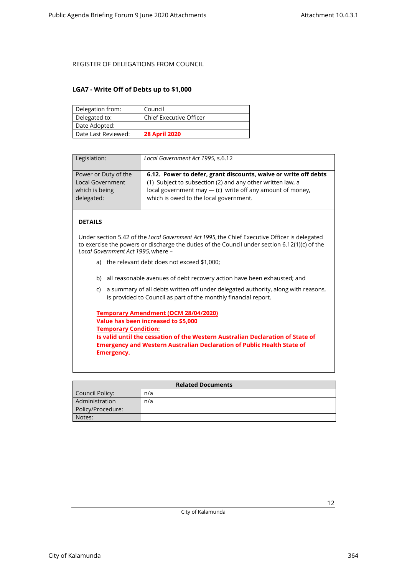#### <span id="page-11-0"></span>**LGA7 - Write Off of Debts up to \$1,000**

| Delegation from:    | Council                        |
|---------------------|--------------------------------|
| Delegated to:       | <b>Chief Executive Officer</b> |
| Date Adopted:       |                                |
| Date Last Reviewed: | <b>28 April 2020</b>           |

| Legislation:            | Local Government Act 1995, s.6.12                               |
|-------------------------|-----------------------------------------------------------------|
| Power or Duty of the    | 6.12. Power to defer, grant discounts, waive or write off debts |
| <b>Local Government</b> | (1) Subject to subsection (2) and any other written law, a      |
| which is being          | local government may $-$ (c) write off any amount of money,     |
| delegated:              | which is owed to the local government.                          |

### **DETAILS**

Under section 5.42 of the *Local Government Act 1995*, the Chief Executive Officer is delegated to exercise the powers or discharge the duties of the Council under section 6.12(1)(c) of the *Local Government Act 1995*, where –

- a) the relevant debt does not exceed \$1,000;
- b) all reasonable avenues of debt recovery action have been exhausted; and
- c) a summary of all debts written off under delegated authority, along with reasons, is provided to Council as part of the monthly financial report.

| Temporary Amendment (OCM 28/04/2020)                                           |
|--------------------------------------------------------------------------------|
| Value has been increased to \$5,000                                            |
| <b>Temporary Condition:</b>                                                    |
| Is valid until the cessation of the Western Australian Declaration of State of |
| <b>Emergency and Western Australian Declaration of Public Health State of</b>  |
| Emergency.                                                                     |

| <b>Related Documents</b> |     |  |
|--------------------------|-----|--|
| Council Policy:          | n/a |  |
| Administration           | n/a |  |
| Policy/Procedure:        |     |  |
| Notes:                   |     |  |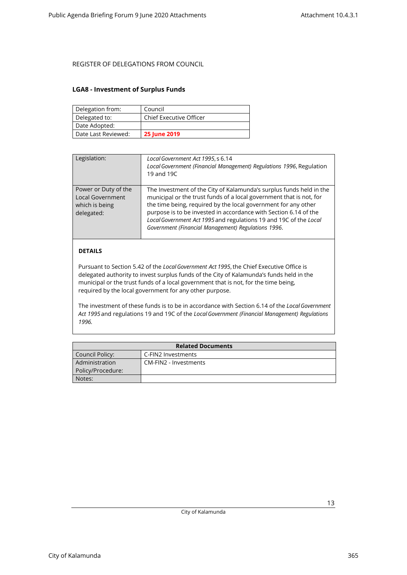#### <span id="page-12-0"></span>**LGA8 - Investment of Surplus Funds**

| Delegation from:    | Council                        |
|---------------------|--------------------------------|
| Delegated to:       | <b>Chief Executive Officer</b> |
| Date Adopted:       |                                |
| Date Last Reviewed: | <b>25 June 2019</b>            |

| Legislation:                                                                    | Local Government Act 1995, s 6.14<br>Local Government (Financial Management) Regulations 1996, Regulation<br>19 and 19C                                                                                                                                                                                                                                                                                      |
|---------------------------------------------------------------------------------|--------------------------------------------------------------------------------------------------------------------------------------------------------------------------------------------------------------------------------------------------------------------------------------------------------------------------------------------------------------------------------------------------------------|
| Power or Duty of the<br><b>Local Government</b><br>which is being<br>delegated: | The Investment of the City of Kalamunda's surplus funds held in the<br>municipal or the trust funds of a local government that is not, for<br>the time being, required by the local government for any other<br>purpose is to be invested in accordance with Section 6.14 of the<br>Local Government Act 1995 and regulations 19 and 19C of the Local<br>Government (Financial Management) Regulations 1996. |
|                                                                                 |                                                                                                                                                                                                                                                                                                                                                                                                              |

### **DETAILS**

Pursuant to Section 5.42 of the *Local Government Act 1995*, the Chief Executive Office is delegated authority to invest surplus funds of the City of Kalamunda's funds held in the municipal or the trust funds of a local government that is not, for the time being, required by the local government for any other purpose.

The investment of these funds is to be in accordance with Section 6.14 of the *Local Government Act 1995* and regulations 19 and 19C of the *Local Government (Financial Management) Regulations 1996.*

| <b>Related Documents</b> |                       |  |
|--------------------------|-----------------------|--|
| Council Policy:          | C-FIN2 Investments    |  |
| Administration           | CM-FIN2 - Investments |  |
| Policy/Procedure:        |                       |  |
| Notes:                   |                       |  |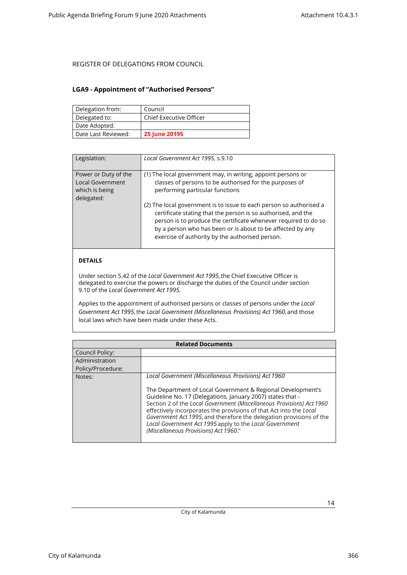### <span id="page-13-0"></span>**LGA9 - Appointment of "Authorised Persons"**

| Delegation from:    | Council                        |
|---------------------|--------------------------------|
| Delegated to:       | <b>Chief Executive Officer</b> |
| Date Adopted:       |                                |
| Date Last Reviewed: | 25 June 20195                  |

| Legislation:                                                                    | Local Government Act 1995, s.9.10                                                                                                                                                                                                                                                                                        |
|---------------------------------------------------------------------------------|--------------------------------------------------------------------------------------------------------------------------------------------------------------------------------------------------------------------------------------------------------------------------------------------------------------------------|
| Power or Duty of the<br><b>Local Government</b><br>which is being<br>delegated: | (1) The local government may, in writing, appoint persons or<br>classes of persons to be authorised for the purposes of<br>performing particular functions                                                                                                                                                               |
|                                                                                 | (2) The local government is to issue to each person so authorised a<br>certificate stating that the person is so authorised, and the<br>person is to produce the certificate whenever required to do so<br>by a person who has been or is about to be affected by any<br>exercise of authority by the authorised person. |

### **DETAILS**

Under section 5.42 of the *Local Government Act 1995*, the Chief Executive Officer is delegated to exercise the powers or discharge the duties of the Council under section 9.10 of the *Local Government Act 1995.*

Applies to the appointment of authorised persons or classes of persons under the *Local Government Act 1995*, the *Local Government (Miscellaneous Provisions) Act 1960*, and those local laws which have been made under these Acts.

| <b>Related Documents</b> |                                                                                                                                                                                                                                                                                                                                                                                                                                                     |
|--------------------------|-----------------------------------------------------------------------------------------------------------------------------------------------------------------------------------------------------------------------------------------------------------------------------------------------------------------------------------------------------------------------------------------------------------------------------------------------------|
| Council Policy:          |                                                                                                                                                                                                                                                                                                                                                                                                                                                     |
| Administration           |                                                                                                                                                                                                                                                                                                                                                                                                                                                     |
| Policy/Procedure:        |                                                                                                                                                                                                                                                                                                                                                                                                                                                     |
| Notes:                   | Local Government (Miscellaneous Provisions) Act 1960                                                                                                                                                                                                                                                                                                                                                                                                |
|                          | The Department of Local Government & Regional Development's<br>Guideline No. 17 (Delegations, January 2007) states that -<br>Section 2 of the Local Government (Miscellaneous Provisions) Act 1960<br>effectively incorporates the provisions of that Act into the Local<br>Government Act 1995, and therefore the delegation provisions of the<br>Local Government Act 1995 apply to the Local Government<br>(Miscellaneous Provisions) Act 1960." |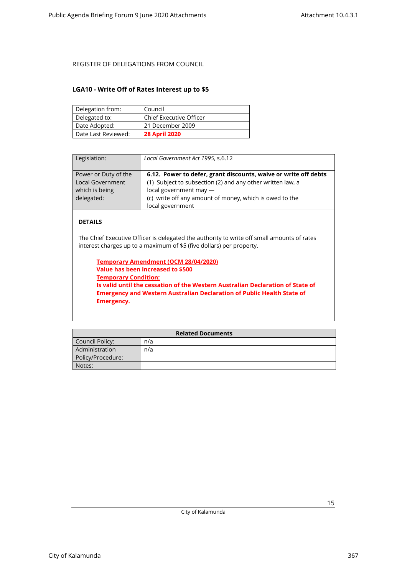### <span id="page-14-0"></span>**LGA10 - Write Off of Rates Interest up to \$5**

| Delegation from:    | Council                        |
|---------------------|--------------------------------|
| Delegated to:       | <b>Chief Executive Officer</b> |
| Date Adopted:       | 21 December 2009               |
| Date Last Reviewed: | <b>28 April 2020</b>           |

| Legislation:                                                                    | Local Government Act 1995, s.6.12                                                                                                                                                                                                      |
|---------------------------------------------------------------------------------|----------------------------------------------------------------------------------------------------------------------------------------------------------------------------------------------------------------------------------------|
| Power or Duty of the<br><b>Local Government</b><br>which is being<br>delegated: | 6.12. Power to defer, grant discounts, waive or write off debts<br>(1) Subject to subsection (2) and any other written law, a<br>local government may -<br>(c) write off any amount of money, which is owed to the<br>local government |

### **DETAILS**

The Chief Executive Officer is delegated the authority to write off small amounts of rates interest charges up to a maximum of \$5 (five dollars) per property.

**Temporary Amendment (OCM 28/04/2020) Value has been increased to \$500 Temporary Condition: Is valid until the cessation of the Western Australian Declaration of State of Emergency and Western Australian Declaration of Public Health State of Emergency.**

| <b>Related Documents</b> |     |  |
|--------------------------|-----|--|
| Council Policy:          | n/a |  |
| Administration           | n/a |  |
| Policy/Procedure:        |     |  |
| Notes:                   |     |  |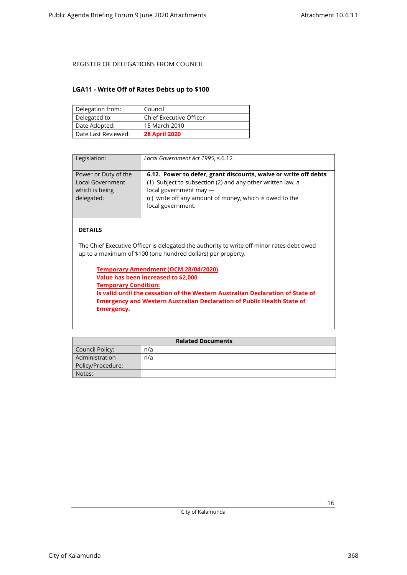### <span id="page-15-0"></span>**LGA11 - Write Off of Rates Debts up to \$100**

| Delegation from:    | Council                        |
|---------------------|--------------------------------|
| Delegated to:       | <b>Chief Executive Officer</b> |
| Date Adopted:       | 15 March 2010                  |
| Date Last Reviewed: | <b>28 April 2020</b>           |

| Legislation:                                                                    | Local Government Act 1995, s.6.12                                                                                                                                                                                                         |
|---------------------------------------------------------------------------------|-------------------------------------------------------------------------------------------------------------------------------------------------------------------------------------------------------------------------------------------|
| Power or Duty of the<br><b>Local Government</b><br>which is being<br>delegated: | 6.12. Power to defer, grant discounts, waive or write off debts<br>(1) Subject to subsection (2) and any other written law, a<br>local government may $-$<br>(c) write off any amount of money, which is owed to the<br>local government. |

#### **DETAILS**

The Chief Executive Officer is delegated the authority to write off minor rates debt owed up to a maximum of \$100 (one hundred dollars) per property.

**Temporary Amendment (OCM 28/04/2020) Value has been increased to \$2,000 Temporary Condition: Is valid until the cessation of the Western Australian Declaration of State of Emergency and Western Australian Declaration of Public Health State of Emergency.**

| <b>Related Documents</b> |     |  |
|--------------------------|-----|--|
| Council Policy:          | n/a |  |
| Administration           | n/a |  |
| Policy/Procedure:        |     |  |
| Notes:                   |     |  |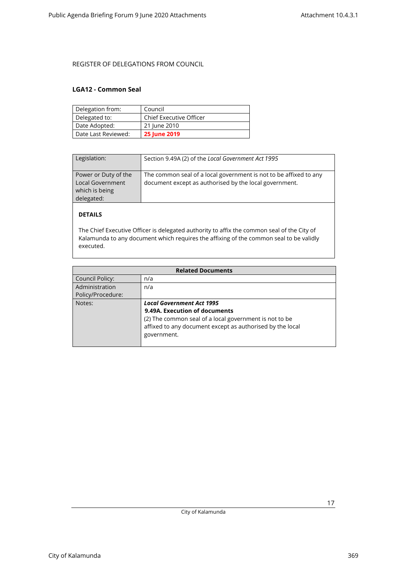#### <span id="page-16-0"></span>**LGA12 - Common Seal**

| Delegation from:    | Council                 |
|---------------------|-------------------------|
| Delegated to:       | Chief Executive Officer |
| Date Adopted:       | 21 June 2010            |
| Date Last Reviewed: | <b>25 June 2019</b>     |

| Legislation:                                                             | Section 9.49A (2) of the Local Government Act 1995                                                                          |
|--------------------------------------------------------------------------|-----------------------------------------------------------------------------------------------------------------------------|
| Power or Duty of the<br>Local Government<br>which is being<br>delegated: | The common seal of a local government is not to be affixed to any<br>document except as authorised by the local government. |

### **DETAILS**

The Chief Executive Officer is delegated authority to affix the common seal of the City of Kalamunda to any document which requires the affixing of the common seal to be validly executed.

| <b>Related Documents</b> |                                                           |
|--------------------------|-----------------------------------------------------------|
| Council Policy:          | n/a                                                       |
| Administration           | n/a                                                       |
| Policy/Procedure:        |                                                           |
| Notes:                   | <b>Local Government Act 1995</b>                          |
|                          | 9.49A. Execution of documents                             |
|                          | (2) The common seal of a local government is not to be    |
|                          | affixed to any document except as authorised by the local |
|                          | government.                                               |
|                          |                                                           |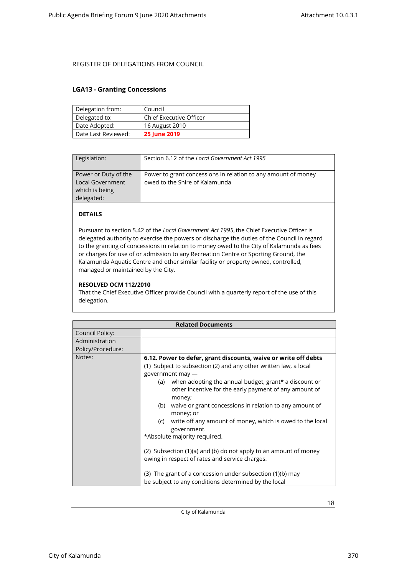#### <span id="page-17-0"></span>**LGA13 - Granting Concessions**

| Delegation from:    | Council                        |
|---------------------|--------------------------------|
| Delegated to:       | <b>Chief Executive Officer</b> |
| Date Adopted:       | 16 August 2010                 |
| Date Last Reviewed: | <b>25 June 2019</b>            |

| Legislation:                                                                    | Section 6.12 of the Local Government Act 1995                                                   |
|---------------------------------------------------------------------------------|-------------------------------------------------------------------------------------------------|
| Power or Duty of the<br><b>Local Government</b><br>which is being<br>delegated: | Power to grant concessions in relation to any amount of money<br>owed to the Shire of Kalamunda |

### **DETAILS**

Pursuant to section 5.42 of the *Local Government Act 1995*, the Chief Executive Officer is delegated authority to exercise the powers or discharge the duties of the Council in regard to the granting of concessions in relation to money owed to the City of Kalamunda as fees or charges for use of or admission to any Recreation Centre or Sporting Ground, the Kalamunda Aquatic Centre and other similar facility or property owned, controlled, managed or maintained by the City.

#### **RESOLVED OCM 112/2010**

That the Chief Executive Officer provide Council with a quarterly report of the use of this delegation.

| <b>Related Documents</b> |                                                                                                                                                                                                                                                                                                                                                                                                                                                                                                                                                                                                                                                                                                                                          |
|--------------------------|------------------------------------------------------------------------------------------------------------------------------------------------------------------------------------------------------------------------------------------------------------------------------------------------------------------------------------------------------------------------------------------------------------------------------------------------------------------------------------------------------------------------------------------------------------------------------------------------------------------------------------------------------------------------------------------------------------------------------------------|
| Council Policy:          |                                                                                                                                                                                                                                                                                                                                                                                                                                                                                                                                                                                                                                                                                                                                          |
| Administration           |                                                                                                                                                                                                                                                                                                                                                                                                                                                                                                                                                                                                                                                                                                                                          |
| Policy/Procedure:        |                                                                                                                                                                                                                                                                                                                                                                                                                                                                                                                                                                                                                                                                                                                                          |
| Notes:                   | 6.12. Power to defer, grant discounts, waive or write off debts<br>(1) Subject to subsection (2) and any other written law, a local<br>government may -<br>when adopting the annual budget, grant* a discount or<br>(a)<br>other incentive for the early payment of any amount of<br>money;<br>waive or grant concessions in relation to any amount of<br>(b)<br>money; or<br>write off any amount of money, which is owed to the local<br>(c)<br>government.<br>*Absolute majority required.<br>(2) Subsection (1)(a) and (b) do not apply to an amount of money<br>owing in respect of rates and service charges.<br>(3) The grant of a concession under subsection (1)(b) may<br>be subject to any conditions determined by the local |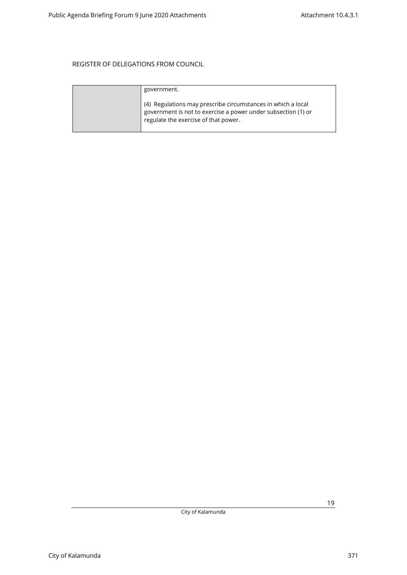| government.                                                                                                                                                           |
|-----------------------------------------------------------------------------------------------------------------------------------------------------------------------|
| (4) Regulations may prescribe circumstances in which a local<br>government is not to exercise a power under subsection (1) or<br>regulate the exercise of that power. |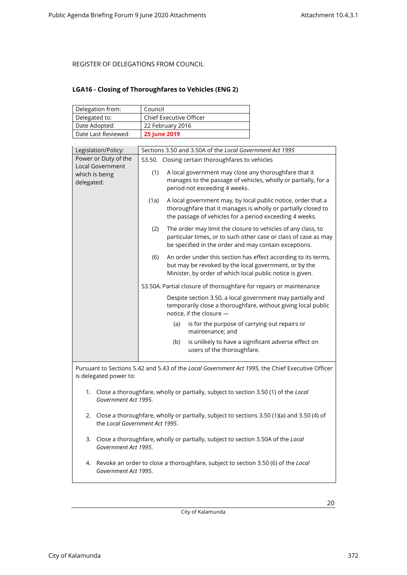### <span id="page-19-0"></span>**LGA16 - Closing of Thoroughfares to Vehicles (ENG 2)**

| Delegation from:    | Council                        |
|---------------------|--------------------------------|
| Delegated to:       | <b>Chief Executive Officer</b> |
| Date Adopted:       | 22 February 2016               |
| Date Last Reviewed: | <b>25 June 2019</b>            |

| Legislation/Policy:                                                                                                             | Sections 3.50 and 3.50A of the Local Government Act 1995                                                                                                                                         |  |
|---------------------------------------------------------------------------------------------------------------------------------|--------------------------------------------------------------------------------------------------------------------------------------------------------------------------------------------------|--|
| Power or Duty of the                                                                                                            | S3.50. Closing certain thoroughfares to vehicles                                                                                                                                                 |  |
| <b>Local Government</b><br>which is being<br>delegated:                                                                         | (1)<br>A local government may close any thoroughfare that it<br>manages to the passage of vehicles, wholly or partially, for a<br>period not exceeding 4 weeks.                                  |  |
|                                                                                                                                 | A local government may, by local public notice, order that a<br>(1a)<br>thoroughfare that it manages is wholly or partially closed to<br>the passage of vehicles for a period exceeding 4 weeks. |  |
|                                                                                                                                 | (2)<br>The order may limit the closure to vehicles of any class, to<br>particular times, or to such other case or class of case as may<br>be specified in the order and may contain exceptions.  |  |
|                                                                                                                                 | An order under this section has effect according to its terms,<br>(6)<br>but may be revoked by the local government, or by the<br>Minister, by order of which local public notice is given.      |  |
|                                                                                                                                 | S3.50A. Partial closure of thoroughfare for repairs or maintenance                                                                                                                               |  |
|                                                                                                                                 | Despite section 3.50, a local government may partially and<br>temporarily close a thoroughfare, without giving local public<br>notice, if the closure -                                          |  |
|                                                                                                                                 | is for the purpose of carrying out repairs or<br>(a)<br>maintenance; and                                                                                                                         |  |
|                                                                                                                                 | is unlikely to have a significant adverse effect on<br>(b)<br>users of the thoroughfare.                                                                                                         |  |
|                                                                                                                                 | Pursuant to Sections 5.42 and 5.43 of the Local Government Act 1995, the Chief Executive Officer                                                                                                 |  |
| is delegated power to:                                                                                                          |                                                                                                                                                                                                  |  |
| 1. Close a thoroughfare, wholly or partially, subject to section 3.50 (1) of the Local<br>Government Act 1995.                  |                                                                                                                                                                                                  |  |
| 2. Close a thoroughfare, wholly or partially, subject to sections 3.50 (1)(a) and 3.50 (4) of<br>the Local Government Act 1995. |                                                                                                                                                                                                  |  |
| 3. Close a thoroughfare, wholly or partially, subject to section 3.50A of the Local<br>Government Act 1995.                     |                                                                                                                                                                                                  |  |
| Revoke an order to close a thoroughfare, subject to section 3.50 (6) of the Local<br>4.<br>Government Act 1995.                 |                                                                                                                                                                                                  |  |

City of Kalamunda 372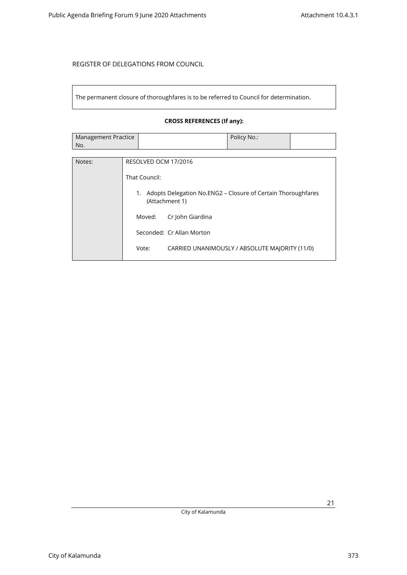The permanent closure of thoroughfares is to be referred to Council for determination.

### **CROSS REFERENCES (If any):**

| Management Practice | Policy No.: |  |
|---------------------|-------------|--|
| No.                 |             |  |

| Notes: | RESOLVED OCM 17/2016                                                                 |
|--------|--------------------------------------------------------------------------------------|
|        | That Council:                                                                        |
|        | Adopts Delegation No.ENG2 – Closure of Certain Thoroughfares<br>1.<br>(Attachment 1) |
|        | Cr John Giardina<br>Moved:                                                           |
|        | Seconded: Cr Allan Morton                                                            |
|        | Vote:<br>CARRIED UNANIMOUSLY / ABSOLUTE MAJORITY (11/0)                              |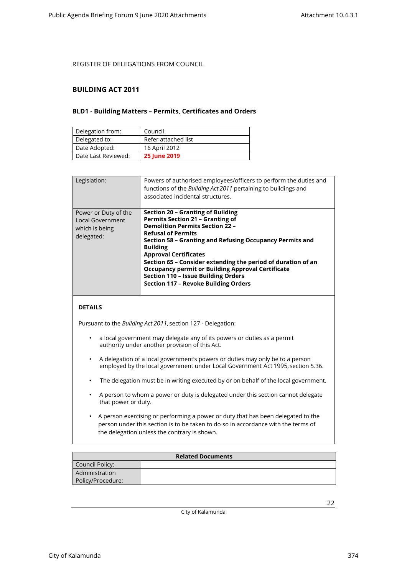#### <span id="page-21-1"></span><span id="page-21-0"></span>**BUILDING ACT 2011**

#### **BLD1 - Building Matters – Permits, Certificates and Orders**

| Delegation from:    | Council             |
|---------------------|---------------------|
| Delegated to:       | Refer attached list |
| Date Adopted:       | 16 April 2012       |
| Date Last Reviewed: | <b>25 June 2019</b> |

| Legislation:                                                             | Powers of authorised employees/officers to perform the duties and<br>functions of the Building Act 2011 pertaining to buildings and<br>associated incidental structures.                                                                                                                                                                                                                                                                                                                    |
|--------------------------------------------------------------------------|---------------------------------------------------------------------------------------------------------------------------------------------------------------------------------------------------------------------------------------------------------------------------------------------------------------------------------------------------------------------------------------------------------------------------------------------------------------------------------------------|
| Power or Duty of the<br>Local Government<br>which is being<br>delegated: | Section 20 - Granting of Building<br><b>Permits Section 21 - Granting of</b><br><b>Demolition Permits Section 22 -</b><br><b>Refusal of Permits</b><br>Section 58 – Granting and Refusing Occupancy Permits and<br><b>Building</b><br><b>Approval Certificates</b><br>Section 65 - Consider extending the period of duration of an<br><b>Occupancy permit or Building Approval Certificate</b><br><b>Section 110 - Issue Building Orders</b><br><b>Section 117 - Revoke Building Orders</b> |

#### **DETAILS**

Pursuant to the *Building Act 2011*, section 127 - Delegation:

- a local government may delegate any of its powers or duties as a permit authority under another provision of this Act.
- A delegation of a local government's powers or duties may only be to a person employed by the local government under Local Government Act 1995, section 5.36.
- The delegation must be in writing executed by or on behalf of the local government.
- A person to whom a power or duty is delegated under this section cannot delegate that power or duty.
- A person exercising or performing a power or duty that has been delegated to the person under this section is to be taken to do so in accordance with the terms of the delegation unless the contrary is shown.

| <b>Related Documents</b> |  |  |
|--------------------------|--|--|
| Council Policy:          |  |  |
| Administration           |  |  |
| Policy/Procedure:        |  |  |

City of Kalamunda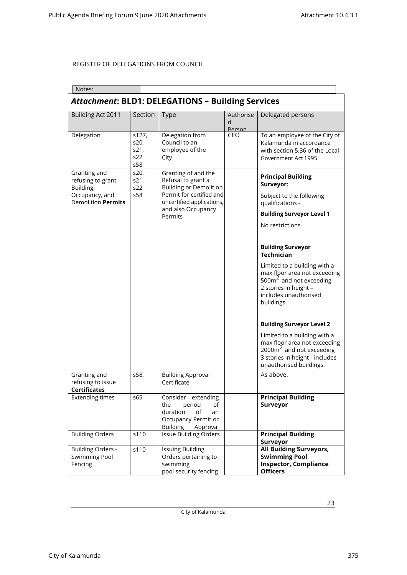| Notes:                                                                                        |                                     |                                                                                                                                     |                          |                                                                                                                                                                    |  |
|-----------------------------------------------------------------------------------------------|-------------------------------------|-------------------------------------------------------------------------------------------------------------------------------------|--------------------------|--------------------------------------------------------------------------------------------------------------------------------------------------------------------|--|
| <b>Attachment: BLD1: DELEGATIONS - Building Services</b>                                      |                                     |                                                                                                                                     |                          |                                                                                                                                                                    |  |
| Building Act 2011                                                                             | Section                             | <b>Type</b>                                                                                                                         | Authorise<br>d<br>Person | Delegated persons                                                                                                                                                  |  |
| Delegation                                                                                    | s127,<br>s20,<br>s21,<br>s22<br>s58 | Delegation from<br>Council to an<br>employee of the<br>City                                                                         | CEO                      | To an employee of the City of<br>Kalamunda in accordance<br>with section 5.36 of the Local<br>Government Act 1995                                                  |  |
| Granting and<br>refusing to grant<br>Building,<br>Occupancy, and<br><b>Demolition Permits</b> | s20,<br>s21,<br>s22<br>s58          | Granting of and the<br>Refusal to grant a<br><b>Building or Demolition</b><br>Permit for certified and<br>uncertified applications, |                          | <b>Principal Building</b><br>Surveyor:<br>Subject to the following<br>qualifications -                                                                             |  |
|                                                                                               |                                     | and also Occupancy<br>Permits                                                                                                       |                          | <b>Building Surveyor Level 1</b>                                                                                                                                   |  |
|                                                                                               |                                     |                                                                                                                                     |                          | No restrictions                                                                                                                                                    |  |
|                                                                                               |                                     |                                                                                                                                     |                          | <b>Building Surveyor</b><br><b>Technician</b>                                                                                                                      |  |
|                                                                                               |                                     |                                                                                                                                     |                          | Limited to a building with a<br>max floor area not exceeding<br>500 $\text{m}^2$ and not exceeding<br>2 stories in height -<br>includes unauthorised<br>buildings. |  |
|                                                                                               |                                     |                                                                                                                                     |                          | <b>Building Surveyor Level 2</b>                                                                                                                                   |  |
|                                                                                               |                                     |                                                                                                                                     |                          | Limited to a building with a<br>max floor area not exceeding<br>$2000 \text{m}^2$ and not exceeding<br>3 stories in height - includes<br>unauthorised buildings.   |  |
| Granting and<br>refusing to issue<br><b>Certificates</b>                                      | s58,                                | <b>Building Approval</b><br>Certificate                                                                                             |                          | As above.                                                                                                                                                          |  |
| <b>Extending times</b>                                                                        | s65                                 | Consider extending<br>the<br>period<br>of<br>duration<br>of<br>an<br>Occupancy Permit or<br><b>Building</b><br>Approval             |                          | <b>Principal Building</b><br>Surveyor                                                                                                                              |  |
| <b>Building Orders</b>                                                                        | s110                                | <b>Issue Building Orders</b>                                                                                                        |                          | <b>Principal Building</b><br>Surveyor                                                                                                                              |  |
| <b>Building Orders -</b><br><b>Swimming Pool</b><br>Fencing                                   | s110                                | <b>Issuing Building</b><br>Orders pertaining to<br>swimming<br>pool security fencing                                                |                          | <b>All Building Surveyors,</b><br><b>Swimming Pool</b><br><b>Inspector, Compliance</b><br><b>Officers</b>                                                          |  |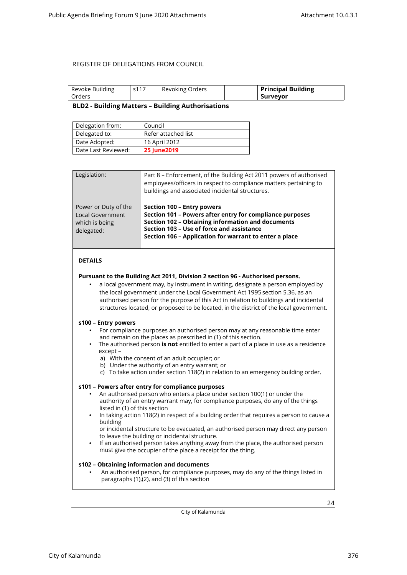<span id="page-23-0"></span>

| Revoke Building | s117 | Revoking Orders | <b>Principal Building</b> |
|-----------------|------|-----------------|---------------------------|
| Orders          |      |                 | . Surveyor                |

#### **BLD2 - Building Matters – Building Authorisations**

| Delegation from:    | Council             |
|---------------------|---------------------|
| Delegated to:       | Refer attached list |
| Date Adopted:       | 16 April 2012       |
| Date Last Reviewed: | <b>25 June 2019</b> |

| Legislation:                                                                    | Part 8 – Enforcement, of the Building Act 2011 powers of authorised<br>employees/officers in respect to compliance matters pertaining to<br>buildings and associated incidental structures.                                                        |
|---------------------------------------------------------------------------------|----------------------------------------------------------------------------------------------------------------------------------------------------------------------------------------------------------------------------------------------------|
| Power or Duty of the<br><b>Local Government</b><br>which is being<br>delegated: | Section 100 - Entry powers<br>Section 101 - Powers after entry for compliance purposes<br>Section 102 - Obtaining information and documents<br>Section 103 - Use of force and assistance<br>Section 106 - Application for warrant to enter a place |

#### **DETAILS**

#### **Pursuant to the Building Act 2011, Division 2 section 96 - Authorised persons.**

• a local government may, by instrument in writing, designate a person employed by the local government under the Local Government Act 1995 section 5.36, as an authorised person for the purpose of this Act in relation to buildings and incidental structures located, or proposed to be located, in the district of the local government.

#### **s100 – Entry powers**

- For compliance purposes an authorised person may at any reasonable time enter and remain on the places as prescribed in (1) of this section.
- The authorised person **is not** entitled to enter a part of a place in use as a residence except –
	- a) With the consent of an adult occupier; or
	- b) Under the authority of an entry warrant; or
	- c) To take action under section 118(2) in relation to an emergency building order.

#### **s101 – Powers after entry for compliance purposes**

- An authorised person who enters a place under section 100(1) or under the authority of an entry warrant may, for compliance purposes, do any of the things listed in (1) of this section
- In taking action 118(2) in respect of a building order that requires a person to cause a building
	- or incidental structure to be evacuated, an authorised person may direct any person to leave the building or incidental structure.
- If an authorised person takes anything away from the place, the authorised person must give the occupier of the place a receipt for the thing.

#### **s102 – Obtaining information and documents**

• An authorised person, for compliance purposes, may do any of the things listed in paragraphs (1),(2), and (3) of this section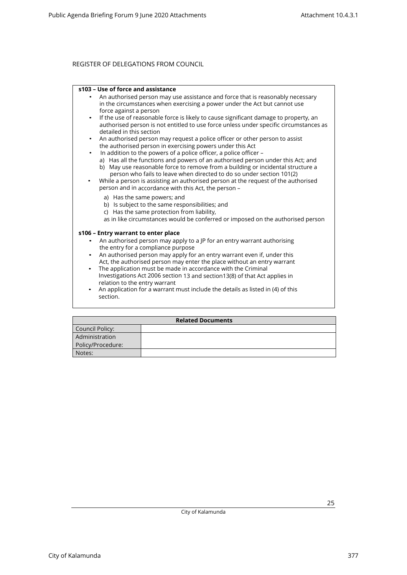#### **s103 – Use of force and assistance**

- An authorised person may use assistance and force that is reasonably necessary in the circumstances when exercising a power under the Act but cannot use force against a person
- If the use of reasonable force is likely to cause significant damage to property, an authorised person is not entitled to use force unless under specific circumstances as detailed in this section
- An authorised person may request a police officer or other person to assist the authorised person in exercising powers under this Act
	- In addition to the powers of a police officer, a police officer –
	- a) Has all the functions and powers of an authorised person under this Act; and b) May use reasonable force to remove from a building or incidental structure a
- person who fails to leave when directed to do so under section 101(2) • While a person is assisting an authorised person at the request of the authorised person and in accordance with this Act, the person –
	- a) Has the same powers; and
	- b) Is subject to the same responsibilities; and
	- c) Has the same protection from liability,
	- as in like circumstances would be conferred or imposed on the authorised person

#### **s106 – Entry warrant to enter place**

- An authorised person may apply to a JP for an entry warrant authorising the entry for a compliance purpose
- An authorised person may apply for an entry warrant even if, under this Act, the authorised person may enter the place without an entry warrant
- The application must be made in accordance with the Criminal Investigations Act 2006 section 13 and section13(8) of that Act applies in relation to the entry warrant
- An application for a warrant must include the details as listed in (4) of this section.

| <b>Related Documents</b> |  |  |
|--------------------------|--|--|
| Council Policy:          |  |  |
| Administration           |  |  |
| Policy/Procedure:        |  |  |
| Notes:                   |  |  |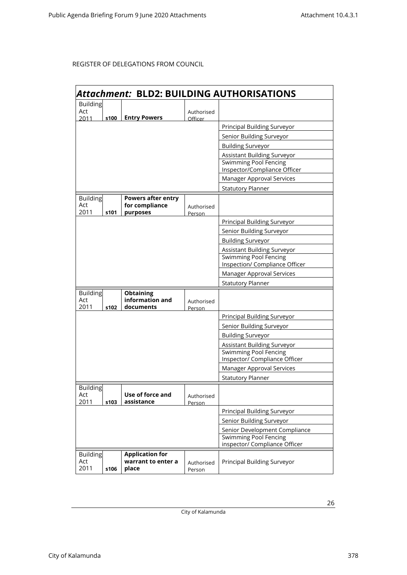|                        | Attachment: BLD2: BUILDING AUTHORISATIONS |                                             |                      |                                                               |  |
|------------------------|-------------------------------------------|---------------------------------------------|----------------------|---------------------------------------------------------------|--|
| <b>Building</b>        |                                           |                                             |                      |                                                               |  |
| Act                    |                                           |                                             | Authorised           |                                                               |  |
| 2011                   | s100                                      | <b>Entry Powers</b>                         | Officer              | Principal Building Surveyor                                   |  |
|                        |                                           |                                             |                      |                                                               |  |
|                        |                                           |                                             |                      | Senior Building Surveyor                                      |  |
|                        |                                           |                                             |                      | <b>Building Surveyor</b>                                      |  |
|                        |                                           |                                             |                      | Assistant Building Surveyor                                   |  |
|                        |                                           |                                             |                      | <b>Swimming Pool Fencing</b><br>Inspector/Compliance Officer  |  |
|                        |                                           |                                             |                      | Manager Approval Services                                     |  |
|                        |                                           |                                             |                      | <b>Statutory Planner</b>                                      |  |
| <b>Building</b><br>Act |                                           | <b>Powers after entry</b><br>for compliance | Authorised           |                                                               |  |
| 2011                   | s101                                      | purposes                                    | Person               | <b>Principal Building Surveyor</b>                            |  |
|                        |                                           |                                             |                      | Senior Building Surveyor                                      |  |
|                        |                                           |                                             |                      | <b>Building Surveyor</b>                                      |  |
|                        |                                           |                                             |                      | Assistant Building Surveyor                                   |  |
|                        |                                           |                                             |                      | <b>Swimming Pool Fencing</b>                                  |  |
|                        |                                           |                                             |                      | Inspection/ Compliance Officer                                |  |
|                        |                                           |                                             |                      | Manager Approval Services                                     |  |
|                        |                                           |                                             |                      | <b>Statutory Planner</b>                                      |  |
| Building               |                                           | <b>Obtaining</b>                            |                      |                                                               |  |
| Act<br>2011            | s102                                      | information and<br>documents                | Authorised           |                                                               |  |
|                        |                                           |                                             | Person               | Principal Building Surveyor                                   |  |
|                        |                                           |                                             |                      | Senior Building Surveyor                                      |  |
|                        |                                           |                                             |                      | <b>Building Surveyor</b>                                      |  |
|                        |                                           |                                             |                      | Assistant Building Surveyor                                   |  |
|                        |                                           |                                             |                      | <b>Swimming Pool Fencing</b>                                  |  |
|                        |                                           |                                             |                      | Inspector/ Compliance Officer                                 |  |
|                        |                                           |                                             |                      | Manager Approval Services                                     |  |
|                        |                                           |                                             |                      | <b>Statutory Planner</b>                                      |  |
| <b>Building</b>        |                                           |                                             |                      |                                                               |  |
| Act                    |                                           | Use of force and                            | Authorised           |                                                               |  |
| 2011                   | s103                                      | assistance                                  | Person               |                                                               |  |
|                        |                                           |                                             |                      | Principal Building Surveyor                                   |  |
|                        |                                           |                                             |                      | Senior Building Surveyor                                      |  |
|                        |                                           |                                             |                      | Senior Development Compliance<br><b>Swimming Pool Fencing</b> |  |
|                        |                                           |                                             |                      | inspector/ Compliance Officer                                 |  |
| <b>Building</b>        |                                           | <b>Application for</b>                      |                      |                                                               |  |
| Act<br>2011            | s106                                      | warrant to enter a<br>place                 | Authorised<br>Person | Principal Building Surveyor                                   |  |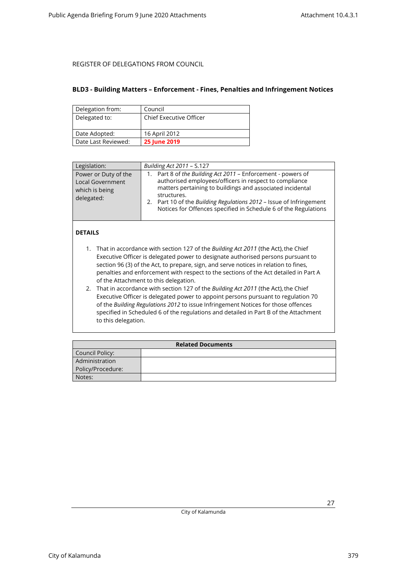#### <span id="page-26-0"></span>**BLD3 - Building Matters – Enforcement - Fines, Penalties and Infringement Notices**

| Delegation from:    | Council                        |
|---------------------|--------------------------------|
| Delegated to:       | <b>Chief Executive Officer</b> |
|                     |                                |
| Date Adopted:       | 16 April 2012                  |
| Date Last Reviewed: | <b>25 June 2019</b>            |

| Legislation:                                                                    | Building Act 2011 - S.127                                                                                                                                                                                                                                                                                                                                |
|---------------------------------------------------------------------------------|----------------------------------------------------------------------------------------------------------------------------------------------------------------------------------------------------------------------------------------------------------------------------------------------------------------------------------------------------------|
| Power or Duty of the<br><b>Local Government</b><br>which is being<br>delegated: | Part 8 of the Building Act 2011 - Enforcement - powers of<br>$1_{\cdot}$<br>authorised employees/officers in respect to compliance<br>matters pertaining to buildings and associated incidental<br>structures.<br>2. Part 10 of the Building Regulations 2012 - Issue of Infringement<br>Notices for Offences specified in Schedule 6 of the Regulations |

### **DETAILS**

- 1. That in accordance with section 127 of the *Building Act 2011* (the Act), the Chief Executive Officer is delegated power to designate authorised persons pursuant to section 96 (3) of the Act, to prepare, sign, and serve notices in relation to fines, penalties and enforcement with respect to the sections of the Act detailed in Part A of the Attachment to this delegation.
- 2. That in accordance with section 127 of the *Building Act 2011* (the Act), the Chief Executive Officer is delegated power to appoint persons pursuant to regulation 70 of the *Building Regulations 2012* to issue Infringement Notices for those offences specified in Scheduled 6 of the regulations and detailed in Part B of the Attachment to this delegation.

| <b>Related Documents</b> |  |  |
|--------------------------|--|--|
| Council Policy:          |  |  |
| Administration           |  |  |
| Policy/Procedure:        |  |  |
| Notes:                   |  |  |

City of Kalamunda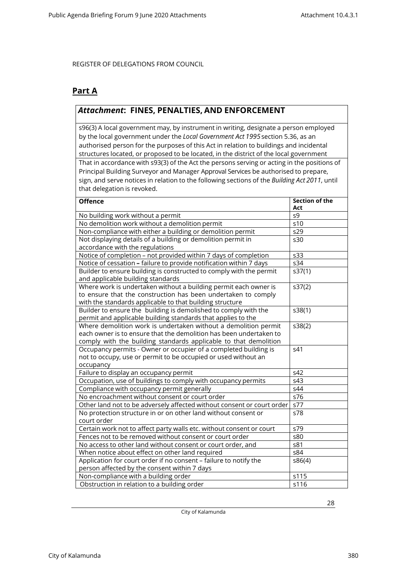### **Part A**

### *Attachment***: FINES, PENALTIES, AND ENFORCEMENT**

s96(3) A local government may, by instrument in writing, designate a person employed by the local government under the *Local Government Act 1995*section 5.36, as an authorised person for the purposes of this Act in relation to buildings and incidental structures located, or proposed to be located, in the district of the local government That in accordance with s93(3) of the Act the persons serving or acting in the positions of Principal Building Surveyor and Manager Approval Services be authorised to prepare, sign, and serve notices in relation to the following sections of the *Building Act 2011*, until that delegation is revoked.

| <b>Offence</b>                                                         | <b>Section of the</b><br>Act |
|------------------------------------------------------------------------|------------------------------|
| No building work without a permit                                      | s9                           |
| No demolition work without a demolition permit                         | s10                          |
| Non-compliance with either a building or demolition permit             | s29                          |
| Not displaying details of a building or demolition permit in           | s30                          |
| accordance with the regulations                                        |                              |
| Notice of completion - not provided within 7 days of completion        | s33                          |
| Notice of cessation - failure to provide notification within 7 days    | s34                          |
| Builder to ensure building is constructed to comply with the permit    | s37(1)                       |
| and applicable building standards                                      |                              |
| Where work is undertaken without a building permit each owner is       | s37(2)                       |
| to ensure that the construction has been undertaken to comply          |                              |
| with the standards applicable to that building structure               |                              |
| Builder to ensure the building is demolished to comply with the        | s38(1)                       |
| permit and applicable building standards that applies to the           |                              |
| Where demolition work is undertaken without a demolition permit        | s38(2)                       |
| each owner is to ensure that the demolition has been undertaken to     |                              |
| comply with the building standards applicable to that demolition       |                              |
| Occupancy permits - Owner or occupier of a completed building is       | s41                          |
| not to occupy, use or permit to be occupied or used without an         |                              |
| occupancy                                                              |                              |
| Failure to display an occupancy permit                                 | s42                          |
| Occupation, use of buildings to comply with occupancy permits          | s43                          |
| Compliance with occupancy permit generally                             | s44                          |
| No encroachment without consent or court order                         | s76                          |
| Other land not to be adversely affected without consent or court order | s77                          |
| No protection structure in or on other land without consent or         | s78                          |
| court order                                                            |                              |
| Certain work not to affect party walls etc. without consent or court   | s79                          |
| Fences not to be removed without consent or court order                | s80                          |
| No access to other land without consent or court order, and            | s81                          |
| When notice about effect on other land required                        | s84                          |
| Application for court order if no consent - failure to notify the      | s86(4)                       |
| person affected by the consent within 7 days                           |                              |
| Non-compliance with a building order                                   | s115                         |
| Obstruction in relation to a building order                            | s116                         |

City of Kalamunda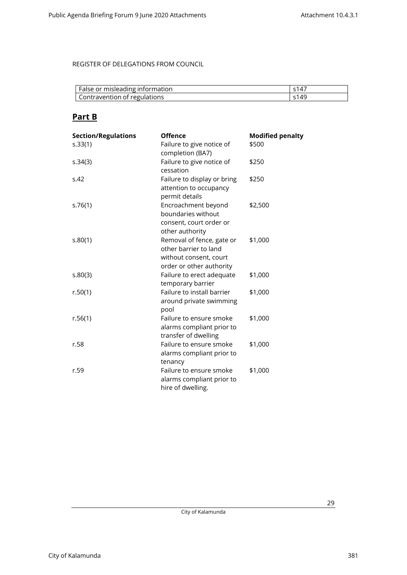| False or misleading information | s147                       |
|---------------------------------|----------------------------|
| Contravention of regulations    | $\varsigma$ 14 $\varsigma$ |

### **Part B**

| <b>Section/Regulations</b> | <b>Offence</b>                                                                                           | <b>Modified penalty</b> |
|----------------------------|----------------------------------------------------------------------------------------------------------|-------------------------|
| s.33(1)                    | Failure to give notice of<br>completion (BA7)                                                            | \$500                   |
| s.34(3)                    | Failure to give notice of<br>cessation                                                                   | \$250                   |
| S.42                       | Failure to display or bring<br>attention to occupancy<br>permit details                                  | \$250                   |
| s.76(1)                    | Encroachment beyond<br>boundaries without<br>consent, court order or<br>other authority                  | \$2,500                 |
| s.80(1)                    | Removal of fence, gate or<br>other barrier to land<br>without consent, court<br>order or other authority | \$1,000                 |
| 5.80(3)                    | Failure to erect adequate<br>temporary barrier                                                           | \$1,000                 |
| r.50(1)                    | Failure to install barrier<br>around private swimming<br>pool                                            | \$1,000                 |
| r.56(1)                    | Failure to ensure smoke<br>alarms compliant prior to<br>transfer of dwelling                             | \$1,000                 |
| r.58                       | Failure to ensure smoke<br>alarms compliant prior to<br>tenancy                                          | \$1,000                 |
| r.59                       | Failure to ensure smoke<br>alarms compliant prior to<br>hire of dwelling.                                | \$1,000                 |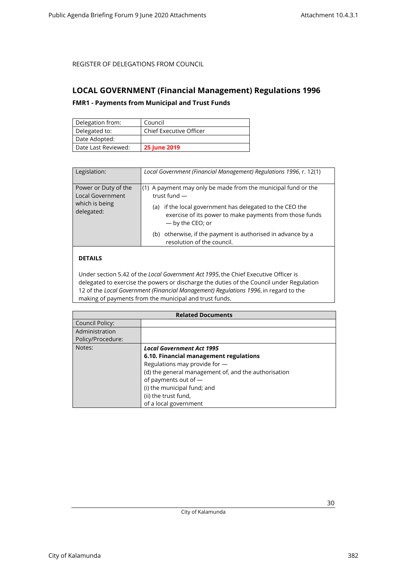### <span id="page-29-1"></span><span id="page-29-0"></span>**LOCAL GOVERNMENT (Financial Management) Regulations 1996**

### **FMR1 - Payments from Municipal and Trust Funds**

| Delegation from:    | Council                        |
|---------------------|--------------------------------|
| Delegated to:       | <b>Chief Executive Officer</b> |
| Date Adopted:       |                                |
| Date Last Reviewed: | <b>25 June 2019</b>            |

| Legislation:                                                                    | Local Government (Financial Management) Regulations 1996, r. 12(1)                                                                                                                                                              |
|---------------------------------------------------------------------------------|---------------------------------------------------------------------------------------------------------------------------------------------------------------------------------------------------------------------------------|
| Power or Duty of the<br><b>Local Government</b><br>which is being<br>delegated: | $(1)$ A payment may only be made from the municipal fund or the<br>trust fund $-$<br>if the local government has delegated to the CEO the<br>(a)<br>exercise of its power to make payments from those funds<br>- by the CEO; or |
|                                                                                 | otherwise, if the payment is authorised in advance by a<br>(b)<br>resolution of the council.                                                                                                                                    |

### **DETAILS**

Under section 5.42 of the *Local Government Act 1995*, the Chief Executive Officer is delegated to exercise the powers or discharge the duties of the Council under Regulation 12 of the *Local Government (Financial Management) Regulations 1996*, in regard to the making of payments from the municipal and trust funds.

| <b>Related Documents</b> |                                                      |
|--------------------------|------------------------------------------------------|
| Council Policy:          |                                                      |
| Administration           |                                                      |
| Policy/Procedure:        |                                                      |
| Notes:                   | <b>Local Government Act 1995</b>                     |
|                          | 6.10. Financial management regulations               |
|                          | Regulations may provide for -                        |
|                          | (d) the general management of, and the authorisation |
|                          | of payments out of -                                 |
|                          | (i) the municipal fund; and                          |
|                          | (ii) the trust fund,                                 |
|                          | of a local government                                |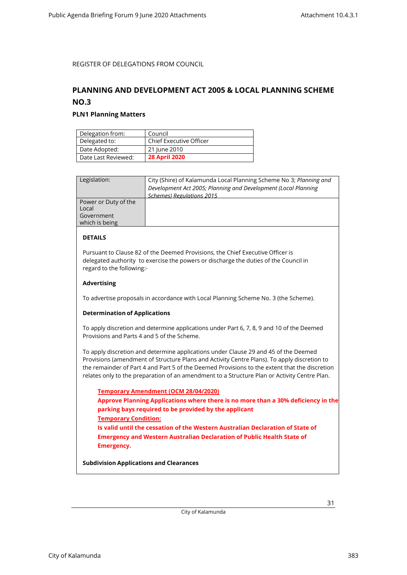### <span id="page-30-1"></span><span id="page-30-0"></span>**PLANNING AND DEVELOPMENT ACT 2005 & LOCAL PLANNING SCHEME NO.3**

#### **PLN1 Planning Matters**

| Delegation from:    | Council                        |
|---------------------|--------------------------------|
| Delegated to:       | <b>Chief Executive Officer</b> |
| Date Adopted:       | 21 June 2010                   |
| Date Last Reviewed: | <b>28 April 2020</b>           |

| Legislation:         | City (Shire) of Kalamunda Local Planning Scheme No 3; Planning and |
|----------------------|--------------------------------------------------------------------|
|                      | Development Act 2005; Planning and Development (Local Planning     |
|                      | <b>Schemes) Regulations 2015</b>                                   |
| Power or Duty of the |                                                                    |
| Local                |                                                                    |
| Government           |                                                                    |
| which is being       |                                                                    |
|                      |                                                                    |

#### **DETAILS**

Pursuant to Clause 82 of the Deemed Provisions, the Chief Executive Officer is delegated authority to exercise the powers or discharge the duties of the Council in regard to the following:-

#### **Advertising**

To advertise proposals in accordance with Local Planning Scheme No. 3 (the Scheme).

#### **Determination of Applications**

To apply discretion and determine applications under Part 6, 7, 8, 9 and 10 of the Deemed Provisions and Parts 4 and 5 of the Scheme.

To apply discretion and determine applications under Clause 29 and 45 of the Deemed Provisions (amendment of Structure Plans and Activity Centre Plans). To apply discretion to the remainder of Part 4 and Part 5 of the Deemed Provisions to the extent that the discretion relates only to the preparation of an amendment to a Structure Plan or Activity Centre Plan.

**Temporary Amendment (OCM 28/04/2020) Approve Planning Applications where there is no more than a 30% deficiency in the parking bays required to be provided by the applicant Temporary Condition: Is valid until the cessation of the Western Australian Declaration of State of Emergency and Western Australian Declaration of Public Health State of Emergency.**

**Subdivision Applications and Clearances**

City of Kalamunda 383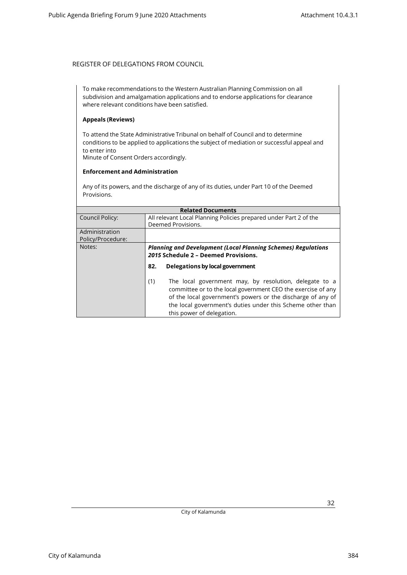To make recommendations to the Western Australian Planning Commission on all subdivision and amalgamation applications and to endorse applications for clearance where relevant conditions have been satisfied.

#### **Appeals (Reviews)**

To attend the State Administrative Tribunal on behalf of Council and to determine conditions to be applied to applications the subject of mediation or successful appeal and to enter into Minute of Consent Orders accordingly.

#### **Enforcement and Administration**

Any of its powers, and the discharge of any of its duties, under Part 10 of the Deemed Provisions.

| <b>Related Documents</b>            |                                                                                                                                                                                                                                                                                         |  |
|-------------------------------------|-----------------------------------------------------------------------------------------------------------------------------------------------------------------------------------------------------------------------------------------------------------------------------------------|--|
| Council Policy:                     | All relevant Local Planning Policies prepared under Part 2 of the<br>Deemed Provisions.                                                                                                                                                                                                 |  |
| Administration<br>Policy/Procedure: |                                                                                                                                                                                                                                                                                         |  |
| Notes:                              | <b>Planning and Development (Local Planning Schemes) Regulations</b><br>2015 Schedule 2 - Deemed Provisions.                                                                                                                                                                            |  |
|                                     | Delegations by local government<br>82.                                                                                                                                                                                                                                                  |  |
|                                     | The local government may, by resolution, delegate to a<br>(1)<br>committee or to the local government CEO the exercise of any<br>of the local government's powers or the discharge of any of<br>the local government's duties under this Scheme other than<br>this power of delegation. |  |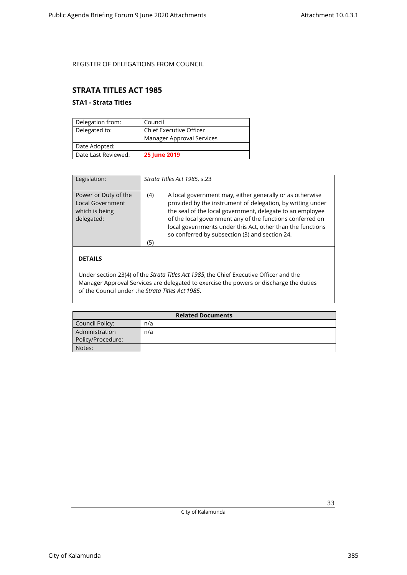### <span id="page-32-1"></span><span id="page-32-0"></span>**STRATA TITLES ACT 1985**

### **STA1 - Strata Titles**

| Delegation from:    | Council                        |
|---------------------|--------------------------------|
| Delegated to:       | <b>Chief Executive Officer</b> |
|                     | Manager Approval Services      |
| Date Adopted:       |                                |
| Date Last Reviewed: | <b>25 June 2019</b>            |

| Legislation:                                                                    | Strata Titles Act 1985, s.23                                                                                                                                                                                                                                                                                                                                                   |
|---------------------------------------------------------------------------------|--------------------------------------------------------------------------------------------------------------------------------------------------------------------------------------------------------------------------------------------------------------------------------------------------------------------------------------------------------------------------------|
| Power or Duty of the<br><b>Local Government</b><br>which is being<br>delegated: | A local government may, either generally or as otherwise<br>(4)<br>provided by the instrument of delegation, by writing under<br>the seal of the local government, delegate to an employee<br>of the local government any of the functions conferred on<br>local governments under this Act, other than the functions<br>so conferred by subsection (3) and section 24.<br>(5) |

### **DETAILS**

Under section 23(4) of the *Strata Titles Act 1985*, the Chief Executive Officer and the Manager Approval Services are delegated to exercise the powers or discharge the duties of the Council under the *Strata Titles Act 1985*.

| <b>Related Documents</b> |     |
|--------------------------|-----|
| Council Policy:          | n/a |
| Administration           | n/a |
| Policy/Procedure:        |     |
| Notes:                   |     |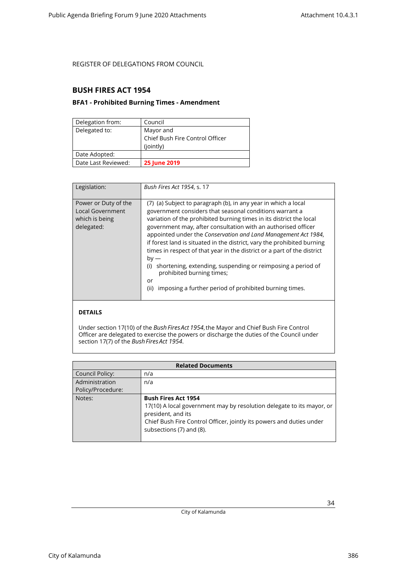### <span id="page-33-1"></span><span id="page-33-0"></span>**BUSH FIRES ACT 1954**

### **BFA1 - Prohibited Burning Times - Amendment**

| Delegation from:    | Council                         |
|---------------------|---------------------------------|
| Delegated to:       | Mayor and                       |
|                     | Chief Bush Fire Control Officer |
|                     | (jointly)                       |
| Date Adopted:       |                                 |
| Date Last Reviewed: | <b>25 June 2019</b>             |

| Legislation:                                                                    | Bush Fires Act 1954, s. 17                                                                                                                                                                                                                                                                                                                                                                                                                                                                                                                                                                                                                                                     |
|---------------------------------------------------------------------------------|--------------------------------------------------------------------------------------------------------------------------------------------------------------------------------------------------------------------------------------------------------------------------------------------------------------------------------------------------------------------------------------------------------------------------------------------------------------------------------------------------------------------------------------------------------------------------------------------------------------------------------------------------------------------------------|
| Power or Duty of the<br><b>Local Government</b><br>which is being<br>delegated: | (7) (a) Subject to paragraph (b), in any year in which a local<br>government considers that seasonal conditions warrant a<br>variation of the prohibited burning times in its district the local<br>government may, after consultation with an authorised officer<br>appointed under the Conservation and Land Management Act 1984,<br>if forest land is situated in the district, vary the prohibited burning<br>times in respect of that year in the district or a part of the district<br>$by -$<br>shortening, extending, suspending or reimposing a period of<br>(i)<br>prohibited burning times;<br>or<br>imposing a further period of prohibited burning times.<br>(ii) |

### **DETAILS**

Under section 17(10) of the *Bush Fires Act 1954*, the Mayor and Chief Bush Fire Control Officer are delegated to exercise the powers or discharge the duties of the Council under section 17(7) of the *Bush Fires Act 1954*.

| <b>Related Documents</b> |                                                                       |  |
|--------------------------|-----------------------------------------------------------------------|--|
| <b>Council Policy:</b>   | n/a                                                                   |  |
| Administration           | n/a                                                                   |  |
| Policy/Procedure:        |                                                                       |  |
| Notes:                   | <b>Bush Fires Act 1954</b>                                            |  |
|                          | 17(10) A local government may by resolution delegate to its mayor, or |  |
|                          | president, and its                                                    |  |
|                          | Chief Bush Fire Control Officer, jointly its powers and duties under  |  |
|                          | subsections (7) and (8).                                              |  |
|                          |                                                                       |  |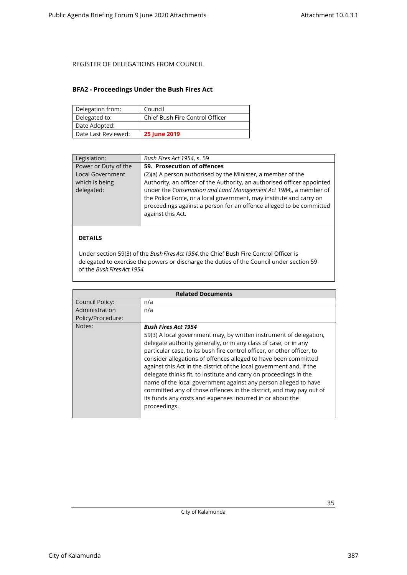### <span id="page-34-0"></span>**BFA2 - Proceedings Under the Bush Fires Act**

| Delegation from:    | Council                         |
|---------------------|---------------------------------|
| Delegated to:       | Chief Bush Fire Control Officer |
| Date Adopted:       |                                 |
| Date Last Reviewed: | <b>25 June 2019</b>             |

| Legislation:         | Bush Fires Act 1954, s. 59                                              |
|----------------------|-------------------------------------------------------------------------|
| Power or Duty of the | 59. Prosecution of offences                                             |
| Local Government     | (2)(a) A person authorised by the Minister, a member of the             |
| which is being       | Authority, an officer of the Authority, an authorised officer appointed |
| delegated:           | under the Conservation and Land Management Act 1984,, a member of       |
|                      | the Police Force, or a local government, may institute and carry on     |
|                      | proceedings against a person for an offence alleged to be committed     |
|                      | against this Act.                                                       |
|                      |                                                                         |
|                      |                                                                         |
| <b>DETAILS</b>       |                                                                         |

Under section 59(3) of the *Bush Fires Act 1954*, the Chief Bush Fire Control Officer is delegated to exercise the powers or discharge the duties of the Council under section 59 of the *Bush Fires Act 1954.*

| <b>Related Documents</b> |                                                                                                                                                                                                                                                                                                                                                                                                                                                                                                                                                                                                                                                                                        |
|--------------------------|----------------------------------------------------------------------------------------------------------------------------------------------------------------------------------------------------------------------------------------------------------------------------------------------------------------------------------------------------------------------------------------------------------------------------------------------------------------------------------------------------------------------------------------------------------------------------------------------------------------------------------------------------------------------------------------|
| Council Policy:          | n/a                                                                                                                                                                                                                                                                                                                                                                                                                                                                                                                                                                                                                                                                                    |
| Administration           | n/a                                                                                                                                                                                                                                                                                                                                                                                                                                                                                                                                                                                                                                                                                    |
| Policy/Procedure:        |                                                                                                                                                                                                                                                                                                                                                                                                                                                                                                                                                                                                                                                                                        |
| Notes:                   | <b>Bush Fires Act 1954</b><br>59(3) A local government may, by written instrument of delegation,<br>delegate authority generally, or in any class of case, or in any<br>particular case, to its bush fire control officer, or other officer, to<br>consider allegations of offences alleged to have been committed<br>against this Act in the district of the local government and, if the<br>delegate thinks fit, to institute and carry on proceedings in the<br>name of the local government against any person alleged to have<br>committed any of those offences in the district, and may pay out of<br>its funds any costs and expenses incurred in or about the<br>proceedings. |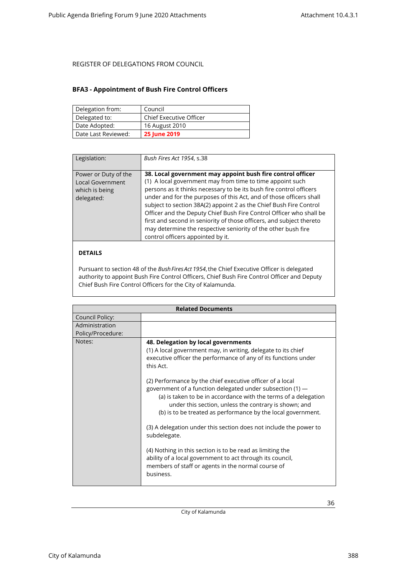### <span id="page-35-0"></span>**BFA3 - Appointment of Bush Fire Control Officers**

| Delegation from:    | Council                        |
|---------------------|--------------------------------|
| Delegated to:       | <b>Chief Executive Officer</b> |
| Date Adopted:       | 16 August 2010                 |
| Date Last Reviewed: | <b>25 June 2019</b>            |

| Legislation:                                                                    | Bush Fires Act 1954, s.38                                                                                                                                                                                                                                                                                                                                                                                                                                                                                                                                                                        |
|---------------------------------------------------------------------------------|--------------------------------------------------------------------------------------------------------------------------------------------------------------------------------------------------------------------------------------------------------------------------------------------------------------------------------------------------------------------------------------------------------------------------------------------------------------------------------------------------------------------------------------------------------------------------------------------------|
| Power or Duty of the<br><b>Local Government</b><br>which is being<br>delegated: | 38. Local government may appoint bush fire control officer<br>(1) A local government may from time to time appoint such<br>persons as it thinks necessary to be its bush fire control officers<br>under and for the purposes of this Act, and of those officers shall<br>subject to section 38A(2) appoint 2 as the Chief Bush Fire Control<br>Officer and the Deputy Chief Bush Fire Control Officer who shall be<br>first and second in seniority of those officers, and subject thereto<br>may determine the respective seniority of the other bush fire<br>control officers appointed by it. |

#### **DETAILS**

Pursuant to section 48 of the *Bush Fires Act 1954*, the Chief Executive Officer is delegated authority to appoint Bush Fire Control Officers, Chief Bush Fire Control Officer and Deputy Chief Bush Fire Control Officers for the City of Kalamunda.

| <b>Related Documents</b>            |                                                                                                                                                                                                                                                                                                                                                                                                                                                                                                                                                                                                                                                                                                                                                                                              |
|-------------------------------------|----------------------------------------------------------------------------------------------------------------------------------------------------------------------------------------------------------------------------------------------------------------------------------------------------------------------------------------------------------------------------------------------------------------------------------------------------------------------------------------------------------------------------------------------------------------------------------------------------------------------------------------------------------------------------------------------------------------------------------------------------------------------------------------------|
| Council Policy:                     |                                                                                                                                                                                                                                                                                                                                                                                                                                                                                                                                                                                                                                                                                                                                                                                              |
| Administration<br>Policy/Procedure: |                                                                                                                                                                                                                                                                                                                                                                                                                                                                                                                                                                                                                                                                                                                                                                                              |
| Notes:                              | 48. Delegation by local governments<br>(1) A local government may, in writing, delegate to its chief<br>executive officer the performance of any of its functions under<br>this Act.<br>(2) Performance by the chief executive officer of a local<br>government of a function delegated under subsection (1) -<br>(a) is taken to be in accordance with the terms of a delegation<br>under this section, unless the contrary is shown; and<br>(b) is to be treated as performance by the local government.<br>(3) A delegation under this section does not include the power to<br>subdelegate.<br>(4) Nothing in this section is to be read as limiting the<br>ability of a local government to act through its council,<br>members of staff or agents in the normal course of<br>business. |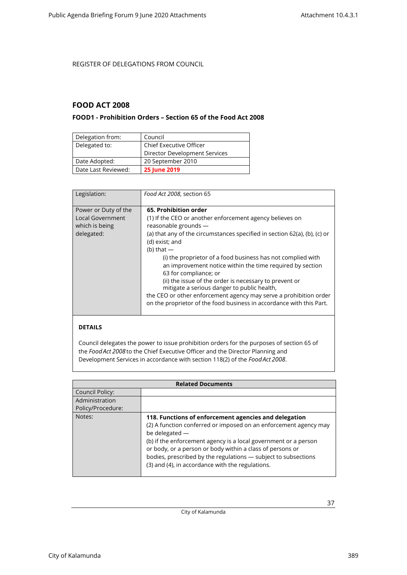### <span id="page-36-1"></span><span id="page-36-0"></span>**FOOD ACT 2008**

### **FOOD1 - Prohibition Orders – Section 65 of the Food Act 2008**

| Delegation from:    | Council                        |
|---------------------|--------------------------------|
| Delegated to:       | <b>Chief Executive Officer</b> |
|                     | Director Development Services  |
| Date Adopted:       | 20 September 2010              |
| Date Last Reviewed: | <b>25 June 2019</b>            |

| Legislation:                                                             | Food Act 2008, section 65                                                                                                                                                                                                                                                                                                                                                                                                                                                                                                                                                                                                           |
|--------------------------------------------------------------------------|-------------------------------------------------------------------------------------------------------------------------------------------------------------------------------------------------------------------------------------------------------------------------------------------------------------------------------------------------------------------------------------------------------------------------------------------------------------------------------------------------------------------------------------------------------------------------------------------------------------------------------------|
| Power or Duty of the<br>Local Government<br>which is being<br>delegated: | 65. Prohibition order<br>(1) If the CEO or another enforcement agency believes on<br>reasonable grounds -<br>(a) that any of the circumstances specified in section 62(a), (b), (c) or<br>(d) exist; and<br>(b) that $-$<br>(i) the proprietor of a food business has not complied with<br>an improvement notice within the time required by section<br>63 for compliance; or<br>(ii) the issue of the order is necessary to prevent or<br>mitigate a serious danger to public health,<br>the CEO or other enforcement agency may serve a prohibition order<br>on the proprietor of the food business in accordance with this Part. |

#### **DETAILS**

Council delegates the power to issue prohibition orders for the purposes of section 65 of the *Food Act 2008*to the Chief Executive Officer and the Director Planning and Development Services in accordance with section 118(2) of the *Food Act 2008*.

| <b>Related Documents</b> |                                                                                                                                                                                                                                                                                                                                                                                                   |
|--------------------------|---------------------------------------------------------------------------------------------------------------------------------------------------------------------------------------------------------------------------------------------------------------------------------------------------------------------------------------------------------------------------------------------------|
| Council Policy:          |                                                                                                                                                                                                                                                                                                                                                                                                   |
| Administration           |                                                                                                                                                                                                                                                                                                                                                                                                   |
| Policy/Procedure:        |                                                                                                                                                                                                                                                                                                                                                                                                   |
| Notes:                   | 118. Functions of enforcement agencies and delegation<br>(2) A function conferred or imposed on an enforcement agency may<br>be delegated -<br>(b) if the enforcement agency is a local government or a person<br>or body, or a person or body within a class of persons or<br>bodies, prescribed by the regulations - subject to subsections<br>(3) and (4), in accordance with the regulations. |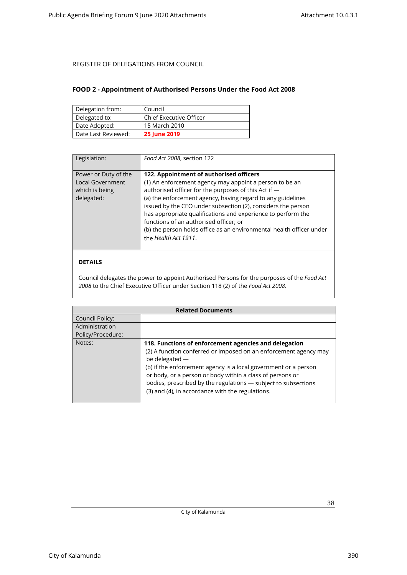### <span id="page-37-0"></span>**FOOD 2 - Appointment of Authorised Persons Under the Food Act 2008**

| Delegation from:    | Council                        |
|---------------------|--------------------------------|
| Delegated to:       | <b>Chief Executive Officer</b> |
| Date Adopted:       | 15 March 2010                  |
| Date Last Reviewed: | <b>25 June 2019</b>            |

| Legislation:                                                                    | Food Act 2008, section 122                                                                                                                                                                                                                                                                                                                                                                                                                                                                          |
|---------------------------------------------------------------------------------|-----------------------------------------------------------------------------------------------------------------------------------------------------------------------------------------------------------------------------------------------------------------------------------------------------------------------------------------------------------------------------------------------------------------------------------------------------------------------------------------------------|
| Power or Duty of the<br><b>Local Government</b><br>which is being<br>delegated: | 122. Appointment of authorised officers<br>(1) An enforcement agency may appoint a person to be an<br>authorised officer for the purposes of this Act if -<br>(a) the enforcement agency, having regard to any guidelines<br>issued by the CEO under subsection (2), considers the person<br>has appropriate qualifications and experience to perform the<br>functions of an authorised officer; or<br>(b) the person holds office as an environmental health officer under<br>the Health Act 1911. |

### **DETAILS**

Council delegates the power to appoint Authorised Persons for the purposes of the *Food Act 2008* to the Chief Executive Officer under Section 118 (2) of the *Food Act 2008*.

| <b>Related Documents</b> |                                                                                                                                                                                                                                                                                                                                                                                                   |  |
|--------------------------|---------------------------------------------------------------------------------------------------------------------------------------------------------------------------------------------------------------------------------------------------------------------------------------------------------------------------------------------------------------------------------------------------|--|
| Council Policy:          |                                                                                                                                                                                                                                                                                                                                                                                                   |  |
| Administration           |                                                                                                                                                                                                                                                                                                                                                                                                   |  |
| Policy/Procedure:        |                                                                                                                                                                                                                                                                                                                                                                                                   |  |
| Notes:                   | 118. Functions of enforcement agencies and delegation<br>(2) A function conferred or imposed on an enforcement agency may<br>be delegated -<br>(b) if the enforcement agency is a local government or a person<br>or body, or a person or body within a class of persons or<br>bodies, prescribed by the regulations - subject to subsections<br>(3) and (4), in accordance with the regulations. |  |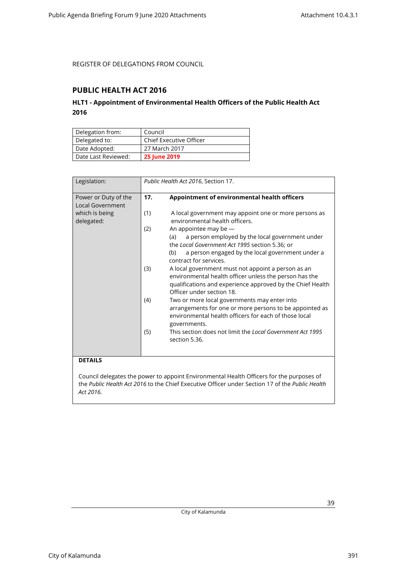### <span id="page-38-1"></span><span id="page-38-0"></span>**PUBLIC HEALTH ACT 2016**

### **HLT1 - Appointment of Environmental Health Officers of the Public Health Act 2016**

| Delegation from:    | Council                 |
|---------------------|-------------------------|
| Delegated to:       | Chief Executive Officer |
| Date Adopted:       | 27 March 2017           |
| Date Last Reviewed: | <b>25 June 2019</b>     |

| Legislation:                             |     | Public Health Act 2016, Section 17.                                                                                                                                                                                      |
|------------------------------------------|-----|--------------------------------------------------------------------------------------------------------------------------------------------------------------------------------------------------------------------------|
| Power or Duty of the<br>Local Government | 17. | Appointment of environmental health officers                                                                                                                                                                             |
| which is being<br>delegated:             | (1) | A local government may appoint one or more persons as<br>environmental health officers.                                                                                                                                  |
|                                          | (2) | An appointee may be $-$<br>a person employed by the local government under<br>(a)<br>the Local Government Act 1995 section 5.36; or<br>a person engaged by the local government under a<br>(b)<br>contract for services. |
|                                          | (3) | A local government must not appoint a person as an<br>environmental health officer unless the person has the<br>qualifications and experience approved by the Chief Health<br>Officer under section 18.                  |
|                                          | (4) | Two or more local governments may enter into<br>arrangements for one or more persons to be appointed as<br>environmental health officers for each of those local<br>governments.                                         |
|                                          | (5) | This section does not limit the Local Government Act 1995<br>section 5.36.                                                                                                                                               |

### **DETAILS**

Council delegates the power to appoint Environmental Health Officers for the purposes of the *Public Health Act 2016* to the Chief Executive Officer under Section 17 of the *Public Health Act 2016.*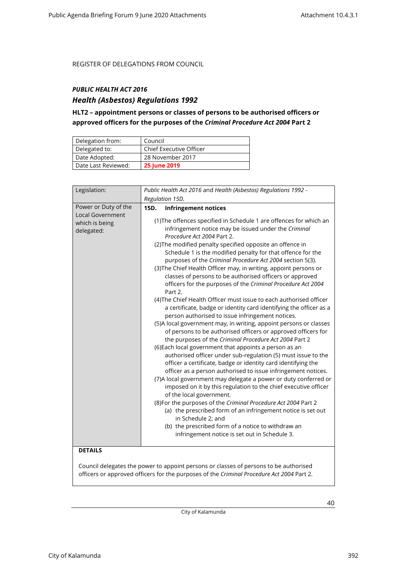### <span id="page-39-0"></span>*PUBLIC HEALTH ACT 2016*

### *Health (Asbestos) Regulations 1992*

### **HLT2 – appointment persons or classes of persons to be authorised officers or approved officers for the purposes of the** *Criminal Procedure Act 2004* **Part 2**

| Delegation from:    | Council                        |
|---------------------|--------------------------------|
| Delegated to:       | <b>Chief Executive Officer</b> |
| Date Adopted:       | 28 November 2017               |
| Date Last Reviewed: | <b>25 June 2019</b>            |

| Legislation:                                                             | Public Health Act 2016 and Health (Asbestos) Regulations 1992 -<br>Regulation 15D.                                                                                                                                                                                                                                                                                                                                                                                                                                                                                                                                                                                                                                                                                                                                                                                                                                                                                                                                                                                                                                                                                                                                                                                                                                                                                                                                                                                                                                                                                                                                                                                                                 |  |
|--------------------------------------------------------------------------|----------------------------------------------------------------------------------------------------------------------------------------------------------------------------------------------------------------------------------------------------------------------------------------------------------------------------------------------------------------------------------------------------------------------------------------------------------------------------------------------------------------------------------------------------------------------------------------------------------------------------------------------------------------------------------------------------------------------------------------------------------------------------------------------------------------------------------------------------------------------------------------------------------------------------------------------------------------------------------------------------------------------------------------------------------------------------------------------------------------------------------------------------------------------------------------------------------------------------------------------------------------------------------------------------------------------------------------------------------------------------------------------------------------------------------------------------------------------------------------------------------------------------------------------------------------------------------------------------------------------------------------------------------------------------------------------------|--|
|                                                                          |                                                                                                                                                                                                                                                                                                                                                                                                                                                                                                                                                                                                                                                                                                                                                                                                                                                                                                                                                                                                                                                                                                                                                                                                                                                                                                                                                                                                                                                                                                                                                                                                                                                                                                    |  |
| Power or Duty of the<br>Local Government<br>which is being<br>delegated: | 15D.<br><b>Infringement notices</b><br>(1) The offences specified in Schedule 1 are offences for which an<br>infringement notice may be issued under the Criminal<br>Procedure Act 2004 Part 2.<br>(2) The modified penalty specified opposite an offence in<br>Schedule 1 is the modified penalty for that offence for the<br>purposes of the Criminal Procedure Act 2004 section 5(3).<br>(3) The Chief Health Officer may, in writing, appoint persons or<br>classes of persons to be authorised officers or approved<br>officers for the purposes of the Criminal Procedure Act 2004<br>Part 2.<br>(4) The Chief Health Officer must issue to each authorised officer<br>a certificate, badge or identity card identifying the officer as a<br>person authorised to issue infringement notices.<br>(5)A local government may, in writing, appoint persons or classes<br>of persons to be authorised officers or approved officers for<br>the purposes of the Criminal Procedure Act 2004 Part 2<br>(6) Each local government that appoints a person as an<br>authorised officer under sub-regulation (5) must issue to the<br>officer a certificate, badge or identity card identifying the<br>officer as a person authorised to issue infringement notices.<br>(7) A local government may delegate a power or duty conferred or<br>imposed on it by this regulation to the chief executive officer<br>of the local government.<br>(8) For the purposes of the Criminal Procedure Act 2004 Part 2<br>(a) the prescribed form of an infringement notice is set out<br>in Schedule 2; and<br>(b) the prescribed form of a notice to withdraw an<br>infringement notice is set out in Schedule 3. |  |
| <b>DETAILS</b>                                                           |                                                                                                                                                                                                                                                                                                                                                                                                                                                                                                                                                                                                                                                                                                                                                                                                                                                                                                                                                                                                                                                                                                                                                                                                                                                                                                                                                                                                                                                                                                                                                                                                                                                                                                    |  |

Council delegates the power to appoint persons or classes of persons to be authorised officers or approved officers for the purposes of the *Criminal Procedure Act 2004* Part 2.

City of Kalamunda

City of Kalamunda 392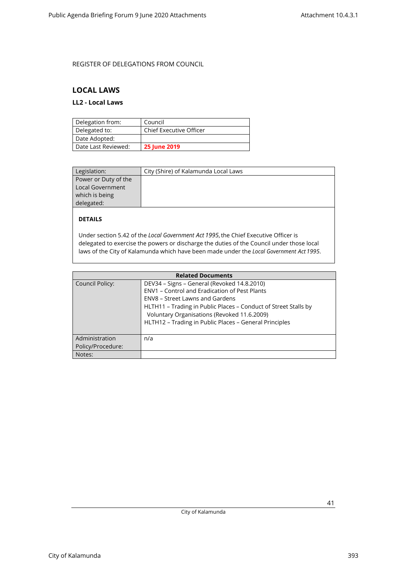### <span id="page-40-1"></span><span id="page-40-0"></span>**LOCAL LAWS**

### **LL2 - Local Laws**

| Delegation from:    | Council                        |
|---------------------|--------------------------------|
| Delegated to:       | <b>Chief Executive Officer</b> |
| Date Adopted:       |                                |
| Date Last Reviewed: | <b>25 June 2019</b>            |

| Legislation:            | City (Shire) of Kalamunda Local Laws |
|-------------------------|--------------------------------------|
| Power or Duty of the    |                                      |
| <b>Local Government</b> |                                      |
| which is being          |                                      |
| delegated:              |                                      |

### **DETAILS**

Under section 5.42 of the *Local Government Act 1995*, the Chief Executive Officer is delegated to exercise the powers or discharge the duties of the Council under those local laws of the City of Kalamunda which have been made under the *Local Government Act 1995*.

| <b>Related Documents</b>            |                                                                                                                                                                                                                                                                                                             |  |
|-------------------------------------|-------------------------------------------------------------------------------------------------------------------------------------------------------------------------------------------------------------------------------------------------------------------------------------------------------------|--|
| Council Policy:                     | DEV34 - Signs - General (Revoked 14.8.2010)<br>ENV1 - Control and Eradication of Pest Plants<br>ENV8 – Street Lawns and Gardens<br>HLTH11 - Trading in Public Places - Conduct of Street Stalls by<br>Voluntary Organisations (Revoked 11.6.2009)<br>HLTH12 - Trading in Public Places - General Principles |  |
| Administration<br>Policy/Procedure: | n/a                                                                                                                                                                                                                                                                                                         |  |
| Notes:                              |                                                                                                                                                                                                                                                                                                             |  |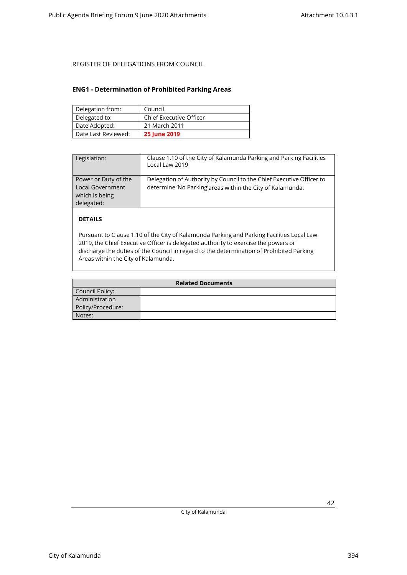### <span id="page-41-0"></span>**ENG1 - Determination of Prohibited Parking Areas**

| Delegation from:    | Council                        |
|---------------------|--------------------------------|
| Delegated to:       | <b>Chief Executive Officer</b> |
| Date Adopted:       | 21 March 2011                  |
| Date Last Reviewed: | <b>25 June 2019</b>            |

| Legislation:                                                                    | Clause 1.10 of the City of Kalamunda Parking and Parking Facilities<br>Local Law 2019                                             |
|---------------------------------------------------------------------------------|-----------------------------------------------------------------------------------------------------------------------------------|
| Power or Duty of the<br><b>Local Government</b><br>which is being<br>delegated: | Delegation of Authority by Council to the Chief Executive Officer to<br>determine 'No Parking'areas within the City of Kalamunda. |

### **DETAILS**

Pursuant to Clause 1.10 of the City of Kalamunda Parking and Parking Facilities Local Law 2019, the Chief Executive Officer is delegated authority to exercise the powers or discharge the duties of the Council in regard to the determination of Prohibited Parking Areas within the City of Kalamunda.

| <b>Related Documents</b> |  |  |
|--------------------------|--|--|
| Council Policy:          |  |  |
| Administration           |  |  |
| Policy/Procedure:        |  |  |
| Notes:                   |  |  |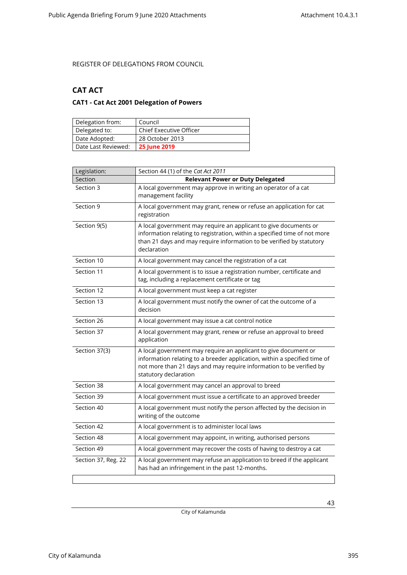### <span id="page-42-1"></span><span id="page-42-0"></span>**CAT ACT**

### **CAT1 - Cat Act 2001 Delegation of Powers**

| Delegation from:    | Council                        |
|---------------------|--------------------------------|
| Delegated to:       | <b>Chief Executive Officer</b> |
| Date Adopted:       | 28 October 2013                |
| Date Last Reviewed: | <b>25 June 2019</b>            |

| Legislation:        | Section 44 (1) of the Cat Act 2011                                                                                                                                                                                                           |  |
|---------------------|----------------------------------------------------------------------------------------------------------------------------------------------------------------------------------------------------------------------------------------------|--|
| Section             | <b>Relevant Power or Duty Delegated</b>                                                                                                                                                                                                      |  |
| Section 3           | A local government may approve in writing an operator of a cat<br>management facility                                                                                                                                                        |  |
| Section 9           | A local government may grant, renew or refuse an application for cat<br>registration                                                                                                                                                         |  |
| Section 9(5)        | A local government may require an applicant to give documents or<br>information relating to registration, within a specified time of not more<br>than 21 days and may require information to be verified by statutory<br>declaration         |  |
| Section 10          | A local government may cancel the registration of a cat                                                                                                                                                                                      |  |
| Section 11          | A local government is to issue a registration number, certificate and<br>tag, including a replacement certificate or tag                                                                                                                     |  |
| Section 12          | A local government must keep a cat register                                                                                                                                                                                                  |  |
| Section 13          | A local government must notify the owner of cat the outcome of a<br>decision                                                                                                                                                                 |  |
| Section 26          | A local government may issue a cat control notice                                                                                                                                                                                            |  |
| Section 37          | A local government may grant, renew or refuse an approval to breed<br>application                                                                                                                                                            |  |
| Section 37(3)       | A local government may require an applicant to give document or<br>information relating to a breeder application, within a specified time of<br>not more than 21 days and may require information to be verified by<br>statutory declaration |  |
| Section 38          | A local government may cancel an approval to breed                                                                                                                                                                                           |  |
| Section 39          | A local government must issue a certificate to an approved breeder                                                                                                                                                                           |  |
| Section 40          | A local government must notify the person affected by the decision in<br>writing of the outcome                                                                                                                                              |  |
| Section 42          | A local government is to administer local laws                                                                                                                                                                                               |  |
| Section 48          | A local government may appoint, in writing, authorised persons                                                                                                                                                                               |  |
| Section 49          | A local government may recover the costs of having to destroy a cat                                                                                                                                                                          |  |
| Section 37, Reg. 22 | A local government may refuse an application to breed if the applicant<br>has had an infringement in the past 12-months.                                                                                                                     |  |
|                     |                                                                                                                                                                                                                                              |  |

City of Kalamunda 395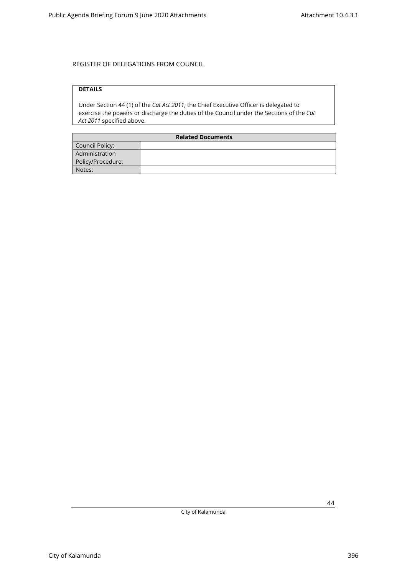### **DETAILS**

Under Section 44 (1) of the *Cat Act 2011*, the Chief Executive Officer is delegated to exercise the powers or discharge the duties of the Council under the Sections of the *Cat Act 2011* specified above.

| <b>Related Documents</b> |  |  |
|--------------------------|--|--|
| Council Policy:          |  |  |
| Administration           |  |  |
| Policy/Procedure:        |  |  |
| Notes:                   |  |  |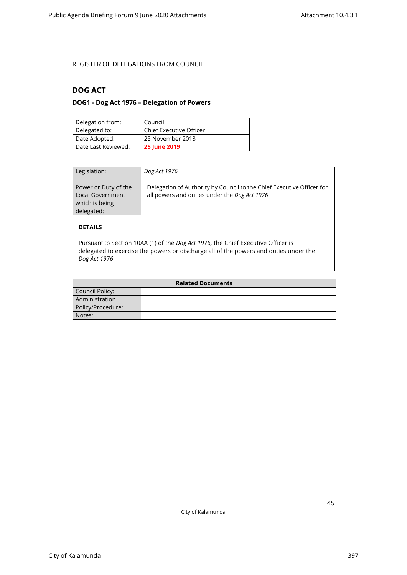### <span id="page-44-1"></span><span id="page-44-0"></span>**DOG ACT**

### **DOG1 - Dog Act 1976 – Delegation of Powers**

| Delegation from:    | Council                        |
|---------------------|--------------------------------|
| Delegated to:       | <b>Chief Executive Officer</b> |
| Date Adopted:       | 25 November 2013               |
| Date Last Reviewed: | <b>25 June 2019</b>            |

| Legislation:                                                             | Dog Act 1976                                                                                                          |
|--------------------------------------------------------------------------|-----------------------------------------------------------------------------------------------------------------------|
| Power or Duty of the<br>Local Government<br>which is being<br>delegated: | Delegation of Authority by Council to the Chief Executive Officer for<br>all powers and duties under the Dog Act 1976 |
| <b>DETAILS</b>                                                           |                                                                                                                       |

Pursuant to Section 10AA (1) of the *Dog Act 1976,* the Chief Executive Officer is delegated to exercise the powers or discharge all of the powers and duties under the *Dog Act 1976*.

| <b>Related Documents</b> |  |  |
|--------------------------|--|--|
| Council Policy:          |  |  |
| Administration           |  |  |
| Policy/Procedure:        |  |  |
| Notes:                   |  |  |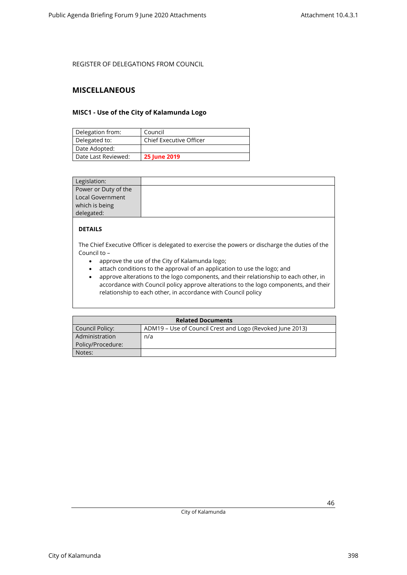### <span id="page-45-1"></span><span id="page-45-0"></span>**MISCELLANEOUS**

### **MISC1 - Use of the City of Kalamunda Logo**

| Delegation from:    | Council                 |
|---------------------|-------------------------|
| Delegated to:       | Chief Executive Officer |
| Date Adopted:       |                         |
| Date Last Reviewed: | <b>25 June 2019</b>     |

| Legislation:         |  |
|----------------------|--|
| Power or Duty of the |  |
| Local Government     |  |
| which is being       |  |
| delegated:           |  |

### **DETAILS**

The Chief Executive Officer is delegated to exercise the powers or discharge the duties of the Council to –

- approve the use of the City of Kalamunda logo;
- attach conditions to the approval of an application to use the logo; and
- approve alterations to the logo components, and their relationship to each other, in accordance with Council policy approve alterations to the logo components, and their relationship to each other, in accordance with Council policy

| <b>Related Documents</b> |                                                           |  |
|--------------------------|-----------------------------------------------------------|--|
| Council Policy:          | ADM19 – Use of Council Crest and Logo (Revoked June 2013) |  |
| Administration           | n/a                                                       |  |
| Policy/Procedure:        |                                                           |  |
| Notes:                   |                                                           |  |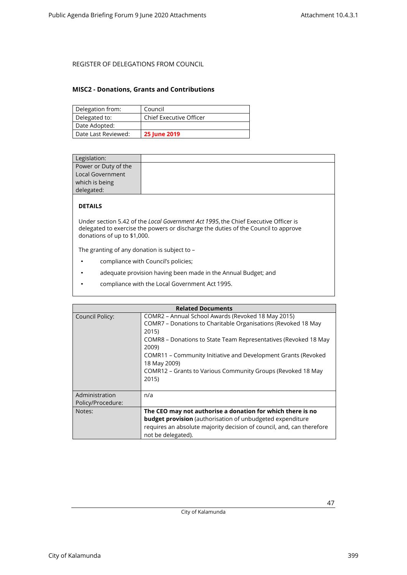### <span id="page-46-0"></span>**MISC2 - Donations, Grants and Contributions**

| Delegation from:    | Council                 |
|---------------------|-------------------------|
| Delegated to:       | Chief Executive Officer |
| Date Adopted:       |                         |
| Date Last Reviewed: | <b>25 June 2019</b>     |

| Legislation:         |  |
|----------------------|--|
| Power or Duty of the |  |
| Local Government     |  |
| which is being       |  |
| delegated:           |  |
|                      |  |

### **DETAILS**

Under section 5.42 of the *Local Government Act 1995*, the Chief Executive Officer is delegated to exercise the powers or discharge the duties of the Council to approve donations of up to \$1,000.

The granting of any donation is subject to –

- compliance with Council's policies;
- adequate provision having been made in the Annual Budget; and
- compliance with the Local Government Act 1995.

|                                     | <b>Related Documents</b>                                                                                                                                                                                                                                                                                                                                          |
|-------------------------------------|-------------------------------------------------------------------------------------------------------------------------------------------------------------------------------------------------------------------------------------------------------------------------------------------------------------------------------------------------------------------|
| Council Policy:                     | COMR2 – Annual School Awards (Revoked 18 May 2015)<br>COMR7 – Donations to Charitable Organisations (Revoked 18 May<br>2015)<br>COMR8 – Donations to State Team Representatives (Revoked 18 May<br>2009)<br>COMR11 – Community Initiative and Development Grants (Revoked<br>18 May 2009)<br>COMR12 – Grants to Various Community Groups (Revoked 18 May<br>2015) |
| Administration<br>Policy/Procedure: | n/a                                                                                                                                                                                                                                                                                                                                                               |
| Notes:                              | The CEO may not authorise a donation for which there is no<br><b>budget provision</b> (authorisation of unbudgeted expenditure<br>requires an absolute majority decision of council, and, can therefore<br>not be delegated).                                                                                                                                     |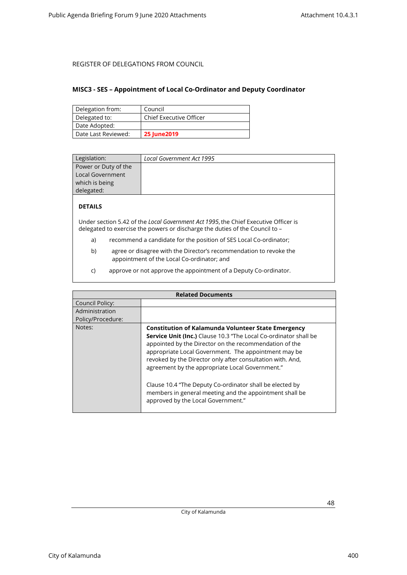### <span id="page-47-0"></span>**MISC3 - SES – Appointment of Local Co-Ordinator and Deputy Coordinator**

| Delegation from:    | Council                        |
|---------------------|--------------------------------|
| Delegated to:       | <b>Chief Executive Officer</b> |
| Date Adopted:       |                                |
| Date Last Reviewed: | <b>25 June 2019</b>            |

| Legislation:         | Local Government Act 1995 |
|----------------------|---------------------------|
| Power or Duty of the |                           |
| Local Government     |                           |
| which is being       |                           |
| delegated:           |                           |

### **DETAILS**

Under section 5.42 of the *Local Government Act 1995*, the Chief Executive Officer is delegated to exercise the powers or discharge the duties of the Council to –

- a) recommend a candidate for the position of SES Local Co-ordinator;
- b) agree or disagree with the Director's recommendation to revoke the appointment of the Local Co-ordinator; and
- c) approve or not approve the appointment of a Deputy Co-ordinator.

| <b>Related Documents</b> |                                                                                                                                                                                                                                                                                                                                                                                                                                                                                                                                |
|--------------------------|--------------------------------------------------------------------------------------------------------------------------------------------------------------------------------------------------------------------------------------------------------------------------------------------------------------------------------------------------------------------------------------------------------------------------------------------------------------------------------------------------------------------------------|
| Council Policy:          |                                                                                                                                                                                                                                                                                                                                                                                                                                                                                                                                |
| Administration           |                                                                                                                                                                                                                                                                                                                                                                                                                                                                                                                                |
| Policy/Procedure:        |                                                                                                                                                                                                                                                                                                                                                                                                                                                                                                                                |
| Notes:                   | <b>Constitution of Kalamunda Volunteer State Emergency</b><br>Service Unit (Inc.) Clause 10.3 "The Local Co-ordinator shall be<br>appointed by the Director on the recommendation of the<br>appropriate Local Government. The appointment may be<br>revoked by the Director only after consultation with. And,<br>agreement by the appropriate Local Government."<br>Clause 10.4 "The Deputy Co-ordinator shall be elected by<br>members in general meeting and the appointment shall be<br>approved by the Local Government." |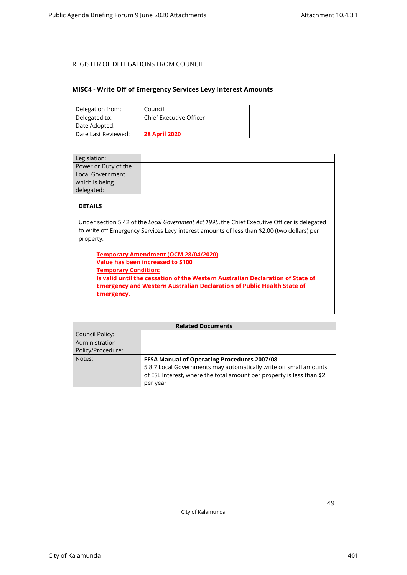### <span id="page-48-0"></span>**MISC4 - Write Off of Emergency Services Levy Interest Amounts**

| Delegation from:    | Council                        |
|---------------------|--------------------------------|
| Delegated to:       | <b>Chief Executive Officer</b> |
| Date Adopted:       |                                |
| Date Last Reviewed: | <b>28 April 2020</b>           |

| Legislation:         |                                                                                               |
|----------------------|-----------------------------------------------------------------------------------------------|
| Power or Duty of the |                                                                                               |
| Local Government     |                                                                                               |
| which is being       |                                                                                               |
| delegated:           |                                                                                               |
| <b>DETAILS</b>       |                                                                                               |
|                      | Under section 5.42 of the Local Government Act 1995, the Chief Executive Officer is delegated |

to write off Emergency Services Levy interest amounts of less than \$2.00 (two dollars) per property.

**Temporary Amendment (OCM 28/04/2020) Value has been increased to \$100 Temporary Condition: Is valid until the cessation of the Western Australian Declaration of State of Emergency and Western Australian Declaration of Public Health State of Emergency.**

| <b>Related Documents</b> |                                                                       |
|--------------------------|-----------------------------------------------------------------------|
| Council Policy:          |                                                                       |
| Administration           |                                                                       |
| Policy/Procedure:        |                                                                       |
| Notes:                   | <b>FESA Manual of Operating Procedures 2007/08</b>                    |
|                          | 5.8.7 Local Governments may automatically write off small amounts     |
|                          | of ESL Interest, where the total amount per property is less than \$2 |
|                          | per year                                                              |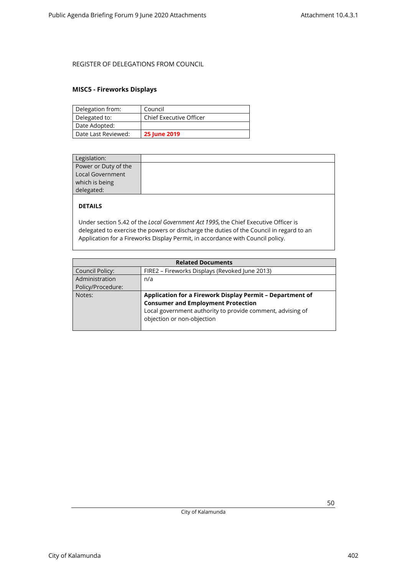### <span id="page-49-0"></span>**MISC5 - Fireworks Displays**

| Delegation from:    | Council                        |
|---------------------|--------------------------------|
| Delegated to:       | <b>Chief Executive Officer</b> |
| Date Adopted:       |                                |
| Date Last Reviewed: | <b>25 June 2019</b>            |

| Legislation:         |  |
|----------------------|--|
| Power or Duty of the |  |
| Local Government     |  |
| which is being       |  |
| delegated:           |  |
|                      |  |

### **DETAILS**

Under section 5.42 of the *Local Government Act 1995,* the Chief Executive Officer is delegated to exercise the powers or discharge the duties of the Council in regard to an Application for a Fireworks Display Permit, in accordance with Council policy.

| <b>Related Documents</b> |                                                            |
|--------------------------|------------------------------------------------------------|
| <b>Council Policy:</b>   | FIRE2 - Fireworks Displays (Revoked June 2013)             |
| Administration           | n/a                                                        |
| Policy/Procedure:        |                                                            |
| Notes:                   | Application for a Firework Display Permit - Department of  |
|                          | <b>Consumer and Employment Protection</b>                  |
|                          | Local government authority to provide comment, advising of |
|                          | objection or non-objection                                 |
|                          |                                                            |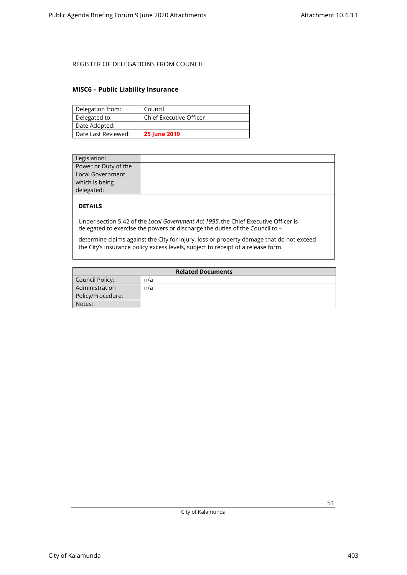### <span id="page-50-0"></span>**MISC6 – Public Liability Insurance**

| Delegation from:    | Council                        |
|---------------------|--------------------------------|
| Delegated to:       | <b>Chief Executive Officer</b> |
| Date Adopted:       |                                |
| Date Last Reviewed: | <b>25 June 2019</b>            |

| Legislation:         |  |
|----------------------|--|
| Power or Duty of the |  |
| Local Government     |  |
| which is being       |  |
| delegated:           |  |

### **DETAILS**

Under section 5.42 of the *Local Government Act 1995*, the Chief Executive Officer is delegated to exercise the powers or discharge the duties of the Council to –

determine claims against the City for injury, loss or property damage that do not exceed the City's insurance policy excess levels, subject to receipt of a release form.

| <b>Related Documents</b> |     |  |
|--------------------------|-----|--|
| Council Policy:          | n/a |  |
| Administration           | n/a |  |
| Policy/Procedure:        |     |  |
| Notes:                   |     |  |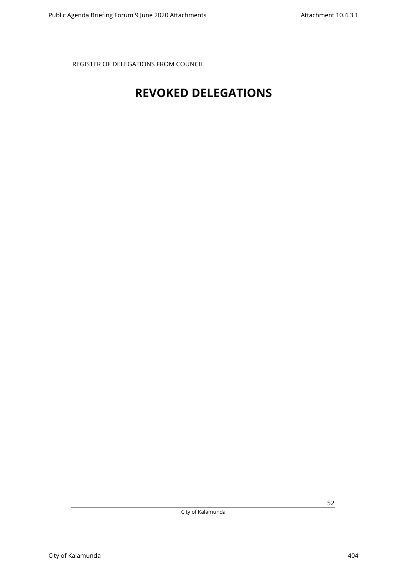## <span id="page-51-0"></span>**REVOKED DELEGATIONS**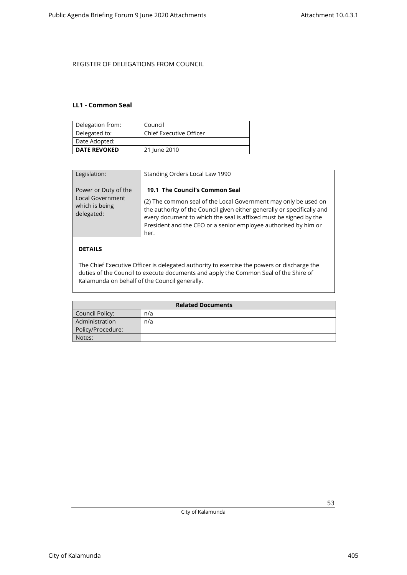#### <span id="page-52-0"></span>**LL1 - Common Seal**

| Delegation from:    | Council                        |
|---------------------|--------------------------------|
| Delegated to:       | <b>Chief Executive Officer</b> |
| Date Adopted:       |                                |
| <b>DATE REVOKED</b> | 21 June 2010                   |

| Legislation:                                                             | Standing Orders Local Law 1990                                                                                                                                                                                                                                                                                               |
|--------------------------------------------------------------------------|------------------------------------------------------------------------------------------------------------------------------------------------------------------------------------------------------------------------------------------------------------------------------------------------------------------------------|
| Power or Duty of the<br>Local Government<br>which is being<br>delegated: | 19.1 The Council's Common Seal<br>(2) The common seal of the Local Government may only be used on<br>the authority of the Council given either generally or specifically and<br>every document to which the seal is affixed must be signed by the<br>President and the CEO or a senior employee authorised by him or<br>her. |
| DETAILS                                                                  |                                                                                                                                                                                                                                                                                                                              |

#### The Chief Executive Officer is delegated authority to exercise the powers or discharge the duties of the Council to execute documents and apply the Common Seal of the Shire of Kalamunda on behalf of the Council generally.

| <b>Related Documents</b> |     |  |
|--------------------------|-----|--|
| Council Policy:          | n/a |  |
| Administration           | n/a |  |
| Policy/Procedure:        |     |  |
| Notes:                   |     |  |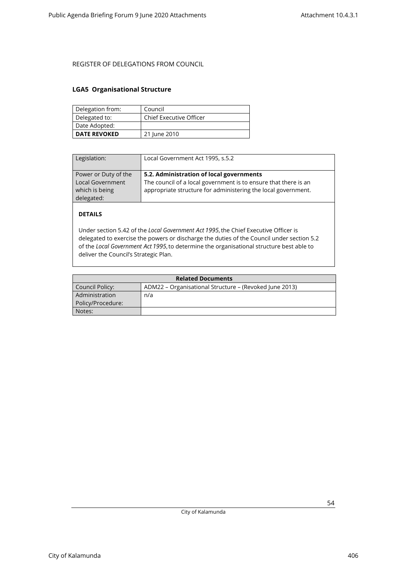### <span id="page-53-0"></span>**LGA5 Organisational Structure**

| Delegation from:    | Council                 |
|---------------------|-------------------------|
| Delegated to:       | Chief Executive Officer |
| Date Adopted:       |                         |
| <b>DATE REVOKED</b> | 21 June 2010            |

| Legislation:                                                                    | Local Government Act 1995, s.5.2                                                                                                                                             |
|---------------------------------------------------------------------------------|------------------------------------------------------------------------------------------------------------------------------------------------------------------------------|
| Power or Duty of the<br><b>Local Government</b><br>which is being<br>delegated: | 5.2. Administration of local governments<br>The council of a local government is to ensure that there is an<br>appropriate structure for administering the local government. |

### **DETAILS**

Under section 5.42 of the *Local Government Act 1995*, the Chief Executive Officer is delegated to exercise the powers or discharge the duties of the Council under section 5.2 of the *Local Government Act 1995*, to determine the organisational structure best able to deliver the Council's Strategic Plan.

| <b>Related Documents</b> |                                                        |  |
|--------------------------|--------------------------------------------------------|--|
| Council Policy:          | ADM22 – Organisational Structure – (Revoked June 2013) |  |
| Administration           | n/a                                                    |  |
| Policy/Procedure:        |                                                        |  |
| Notes:                   |                                                        |  |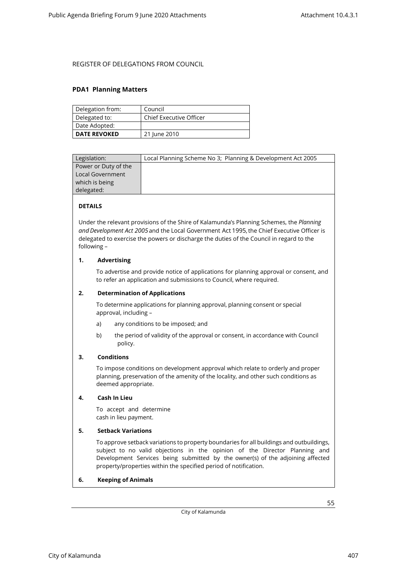#### <span id="page-54-0"></span>**PDA1 Planning Matters**

| Delegation from:    | Council                 |
|---------------------|-------------------------|
| Delegated to:       | Chief Executive Officer |
| Date Adopted:       |                         |
| <b>DATE REVOKED</b> | 21 June 2010            |

| Legislation:         | Local Planning Scheme No 3; Planning & Development Act 2005 |
|----------------------|-------------------------------------------------------------|
| Power or Duty of the |                                                             |
| Local Government     |                                                             |
| which is being       |                                                             |
| delegated:           |                                                             |
|                      |                                                             |

#### **DETAILS**

Under the relevant provisions of the Shire of Kalamunda's Planning Schemes, the *Planning and Development Act 2005*and the Local Government Act 1995, the Chief Executive Officer is delegated to exercise the powers or discharge the duties of the Council in regard to the following –

#### **1. Advertising**

To advertise and provide notice of applications for planning approval or consent, and to refer an application and submissions to Council, where required.

#### **2. Determination of Applications**

To determine applications for planning approval, planning consent or special approval, including –

- a) any conditions to be imposed; and
- b) the period of validity of the approval or consent, in accordance with Council policy.

#### **3. Conditions**

To impose conditions on development approval which relate to orderly and proper planning, preservation of the amenity of the locality, and other such conditions as deemed appropriate.

#### **4. Cash In Lieu**

To accept and determine cash in lieu payment.

#### **5. Setback Variations**

To approve setback variations to property boundaries for all buildings and outbuildings, subject to no valid objections in the opinion of the Director Planning and Development Services being submitted by the owner(s) of the adjoining affected property/properties within the specified period of notification.

#### **6. Keeping of Animals**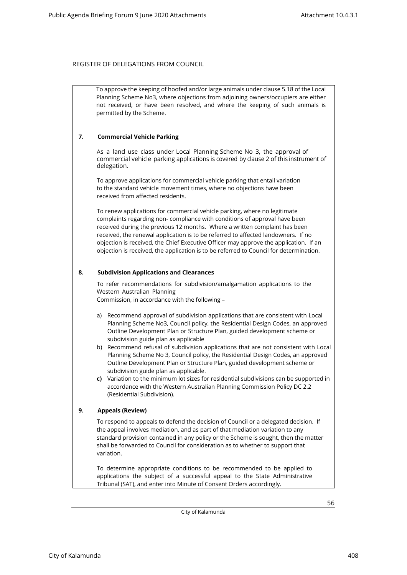To approve the keeping of hoofed and/or large animals under clause 5.18 of the Local Planning Scheme No3, where objections from adjoining owners/occupiers are either not received, or have been resolved, and where the keeping of such animals is permitted by the Scheme.

#### **7. Commercial Vehicle Parking**

As a land use class under Local Planning Scheme No 3, the approval of commercial vehicle parking applications is covered by clause 2 of this instrument of delegation.

To approve applications for commercial vehicle parking that entail variation to the standard vehicle movement times, where no objections have been received from affected residents.

To renew applications for commercial vehicle parking, where no legitimate complaints regarding non- compliance with conditions of approval have been received during the previous 12 months. Where a written complaint has been received, the renewal application is to be referred to affected landowners. If no objection is received, the Chief Executive Officer may approve the application. If an objection is received, the application is to be referred to Council for determination.

#### **8. Subdivision Applications and Clearances**

To refer recommendations for subdivision/amalgamation applications to the Western Australian Planning

Commission, in accordance with the following –

- a) Recommend approval of subdivision applications that are consistent with Local Planning Scheme No3, Council policy, the Residential Design Codes, an approved Outline Development Plan or Structure Plan, guided development scheme or subdivision guide plan as applicable
- b) Recommend refusal of subdivision applications that are not consistent with Local Planning Scheme No 3, Council policy, the Residential Design Codes, an approved Outline Development Plan or Structure Plan, guided development scheme or subdivision guide plan as applicable.
- **c)** Variation to the minimum lot sizes for residential subdivisions can be supported in accordance with the Western Australian Planning Commission Policy DC 2.2 (Residential Subdivision).

#### **9. Appeals (Review)**

To respond to appeals to defend the decision of Council or a delegated decision. If the appeal involves mediation, and as part of that mediation variation to any standard provision contained in any policy or the Scheme is sought, then the matter shall be forwarded to Council for consideration as to whether to support that variation.

To determine appropriate conditions to be recommended to be applied to applications the subject of a successful appeal to the State Administrative Tribunal (SAT), and enter into Minute of Consent Orders accordingly.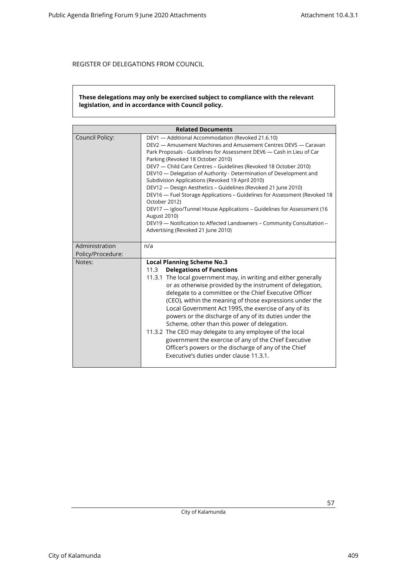#### **These delegations may only be exercised subject to compliance with the relevant legislation, and in accordance with Council policy.**

| <b>Related Documents</b>    |                                                                                                                                                                                                                                                                                                                                                                                                                                                                                                                                                                                                                                                                                                                                                                                                                  |  |
|-----------------------------|------------------------------------------------------------------------------------------------------------------------------------------------------------------------------------------------------------------------------------------------------------------------------------------------------------------------------------------------------------------------------------------------------------------------------------------------------------------------------------------------------------------------------------------------------------------------------------------------------------------------------------------------------------------------------------------------------------------------------------------------------------------------------------------------------------------|--|
| Council Policy:             | DEV1 - Additional Accommodation (Revoked 21.6.10)<br>DEV2 - Amusement Machines and Amusement Centres DEV5 - Caravan<br>Park Proposals - Guidelines for Assessment DEV6 - Cash in Lieu of Car<br>Parking (Revoked 18 October 2010)<br>DEV7 - Child Care Centres - Guidelines (Revoked 18 October 2010)<br>DEV10 — Delegation of Authority - Determination of Development and<br>Subdivision Applications (Revoked 19 April 2010)<br>DEV12 - Design Aesthetics - Guidelines (Revoked 21 June 2010)<br>DEV16 - Fuel Storage Applications - Guidelines for Assessment (Revoked 18<br>October 2012)<br>DEV17 - Igloo/Tunnel House Applications - Guidelines for Assessment (16<br><b>August 2010)</b><br>DEV19 - Notification to Affected Landowners - Community Consultation -<br>Advertising (Revoked 21 June 2010) |  |
| Administration              | n/a                                                                                                                                                                                                                                                                                                                                                                                                                                                                                                                                                                                                                                                                                                                                                                                                              |  |
| Policy/Procedure:<br>Notes: | <b>Local Planning Scheme No.3</b>                                                                                                                                                                                                                                                                                                                                                                                                                                                                                                                                                                                                                                                                                                                                                                                |  |
|                             | <b>Delegations of Functions</b><br>11.3<br>11.3.1 The local government may, in writing and either generally<br>or as otherwise provided by the instrument of delegation,<br>delegate to a committee or the Chief Executive Officer<br>(CEO), within the meaning of those expressions under the<br>Local Government Act 1995, the exercise of any of its<br>powers or the discharge of any of its duties under the<br>Scheme, other than this power of delegation.<br>11.3.2 The CEO may delegate to any employee of the local<br>government the exercise of any of the Chief Executive<br>Officer's powers or the discharge of any of the Chief<br>Executive's duties under clause 11.3.1.                                                                                                                       |  |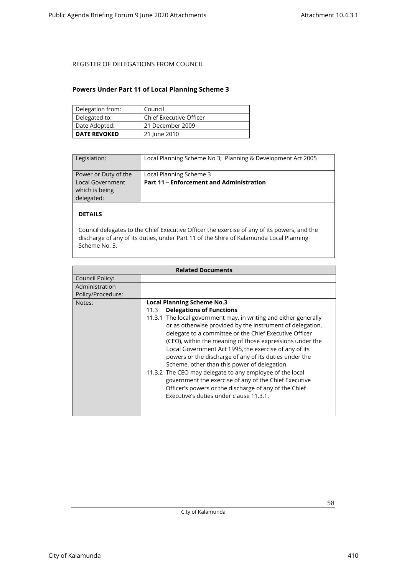### <span id="page-57-0"></span>**Powers Under Part 11 of Local Planning Scheme 3**

| Delegation from:    | Council                        |
|---------------------|--------------------------------|
| Delegated to:       | <b>Chief Executive Officer</b> |
| Date Adopted:       | 21 December 2009               |
| <b>DATE REVOKED</b> | 21 June 2010                   |

| Legislation:                                                                    | Local Planning Scheme No 3; Planning & Development Act 2005                |
|---------------------------------------------------------------------------------|----------------------------------------------------------------------------|
| Power or Duty of the<br><b>Local Government</b><br>which is being<br>delegated: | Local Planning Scheme 3<br><b>Part 11 - Enforcement and Administration</b> |

### **DETAILS**

Council delegates to the Chief Executive Officer the exercise of any of its powers, and the discharge of any of its duties, under Part 11 of the Shire of Kalamunda Local Planning Scheme No. 3.

|                   | <b>Related Documents</b>                                                                                                                                                                                                                                                                                                                                                                                                                                                                                                                                                                                                                                                             |
|-------------------|--------------------------------------------------------------------------------------------------------------------------------------------------------------------------------------------------------------------------------------------------------------------------------------------------------------------------------------------------------------------------------------------------------------------------------------------------------------------------------------------------------------------------------------------------------------------------------------------------------------------------------------------------------------------------------------|
| Council Policy:   |                                                                                                                                                                                                                                                                                                                                                                                                                                                                                                                                                                                                                                                                                      |
| Administration    |                                                                                                                                                                                                                                                                                                                                                                                                                                                                                                                                                                                                                                                                                      |
| Policy/Procedure: |                                                                                                                                                                                                                                                                                                                                                                                                                                                                                                                                                                                                                                                                                      |
| Notes:            | <b>Local Planning Scheme No.3</b><br><b>Delegations of Functions</b><br>11.3<br>11.3.1 The local government may, in writing and either generally<br>or as otherwise provided by the instrument of delegation,<br>delegate to a committee or the Chief Executive Officer<br>(CEO), within the meaning of those expressions under the<br>Local Government Act 1995, the exercise of any of its<br>powers or the discharge of any of its duties under the<br>Scheme, other than this power of delegation.<br>11.3.2 The CEO may delegate to any employee of the local<br>government the exercise of any of the Chief Executive<br>Officer's powers or the discharge of any of the Chief |
|                   | Executive's duties under clause 11.3.1.                                                                                                                                                                                                                                                                                                                                                                                                                                                                                                                                                                                                                                              |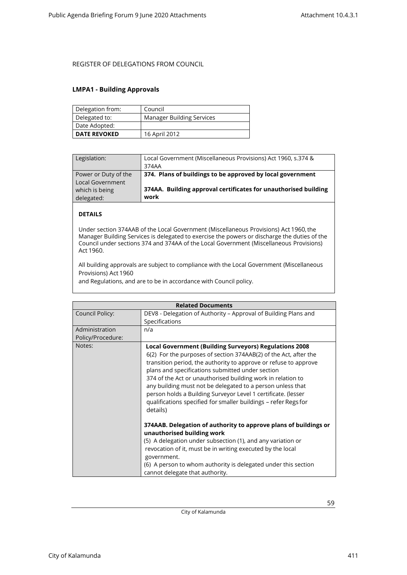### <span id="page-58-0"></span>**LMPA1 - Building Approvals**

| Delegation from:    | Council                          |
|---------------------|----------------------------------|
| Delegated to:       | <b>Manager Building Services</b> |
| Date Adopted:       |                                  |
| <b>DATE REVOKED</b> | 16 April 2012                    |

| Legislation:                             | Local Government (Miscellaneous Provisions) Act 1960, s.374 &<br>374AA  |
|------------------------------------------|-------------------------------------------------------------------------|
| Power or Duty of the<br>Local Government | 374. Plans of buildings to be approved by local government              |
| which is being<br>delegated:             | 374AA. Building approval certificates for unauthorised building<br>work |

### **DETAILS**

Under section 374AAB of the Local Government (Miscellaneous Provisions) Act 1960, the Manager Building Services is delegated to exercise the powers or discharge the duties of the Council under sections 374 and 374AA of the Local Government (Miscellaneous Provisions) Act 1960.

All building approvals are subject to compliance with the Local Government (Miscellaneous Provisions) Act 1960

and Regulations, and are to be in accordance with Council policy.

| <b>Related Documents</b> |                                                                                                                                                                                                                                                                                                                                                                                                                                                                                                                                        |  |
|--------------------------|----------------------------------------------------------------------------------------------------------------------------------------------------------------------------------------------------------------------------------------------------------------------------------------------------------------------------------------------------------------------------------------------------------------------------------------------------------------------------------------------------------------------------------------|--|
| Council Policy:          | DEV8 - Delegation of Authority – Approval of Building Plans and                                                                                                                                                                                                                                                                                                                                                                                                                                                                        |  |
|                          | Specifications                                                                                                                                                                                                                                                                                                                                                                                                                                                                                                                         |  |
| Administration           | n/a                                                                                                                                                                                                                                                                                                                                                                                                                                                                                                                                    |  |
| Policy/Procedure:        |                                                                                                                                                                                                                                                                                                                                                                                                                                                                                                                                        |  |
| Notes:                   | <b>Local Government (Building Surveyors) Regulations 2008</b><br>6(2) For the purposes of section 374AAB(2) of the Act, after the<br>transition period, the authority to approve or refuse to approve<br>plans and specifications submitted under section<br>374 of the Act or unauthorised building work in relation to<br>any building must not be delegated to a person unless that<br>person holds a Building Surveyor Level 1 certificate. (lesser<br>qualifications specified for smaller buildings - refer Regs for<br>details) |  |
|                          | 374AAB. Delegation of authority to approve plans of buildings or<br>unauthorised building work<br>(5) A delegation under subsection (1), and any variation or<br>revocation of it, must be in writing executed by the local<br>government.<br>(6) A person to whom authority is delegated under this section<br>cannot delegate that authority.                                                                                                                                                                                        |  |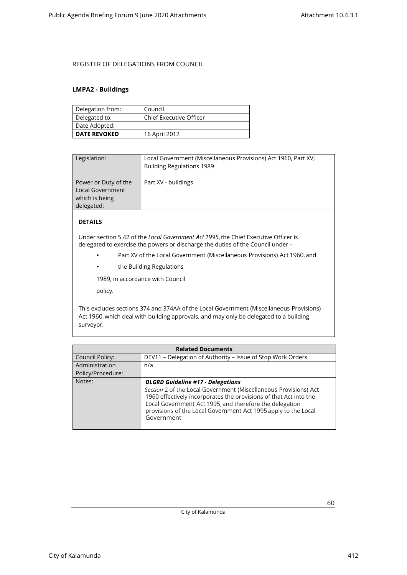#### <span id="page-59-0"></span>**LMPA2 - Buildings**

| Delegation from:    | Council                 |
|---------------------|-------------------------|
| Delegated to:       | Chief Executive Officer |
| Date Adopted:       |                         |
| <b>DATE REVOKED</b> | 16 April 2012           |

| Legislation:            | Local Government (Miscellaneous Provisions) Act 1960, Part XV;<br><b>Building Regulations 1989</b> |
|-------------------------|----------------------------------------------------------------------------------------------------|
| Power or Duty of the    | Part XV - buildings                                                                                |
| <b>Local Government</b> |                                                                                                    |
| which is being          |                                                                                                    |
| delegated:              |                                                                                                    |

### **DETAILS**

Under section 5.42 of the *Local Government Act 1995*, the Chief Executive Officer is delegated to exercise the powers or discharge the duties of the Council under –

- Part XV of the Local Government (Miscellaneous Provisions) Act 1960, and
- the Building Regulations

1989, in accordance with Council

policy.

This excludes sections 374 and 374AA of the Local Government (Miscellaneous Provisions) Act 1960, which deal with building approvals, and may only be delegated to a building surveyor.

| <b>Related Documents</b> |                                                                                                                                                                                                                                                                                                                              |  |
|--------------------------|------------------------------------------------------------------------------------------------------------------------------------------------------------------------------------------------------------------------------------------------------------------------------------------------------------------------------|--|
| <b>Council Policy:</b>   | DEV11 - Delegation of Authority - Issue of Stop Work Orders                                                                                                                                                                                                                                                                  |  |
| Administration           | n/a                                                                                                                                                                                                                                                                                                                          |  |
| Policy/Procedure:        |                                                                                                                                                                                                                                                                                                                              |  |
| Notes:                   | <b>DLGRD Guideline #17 - Delegations</b><br>Section 2 of the Local Government (Miscellaneous Provisions) Act<br>1960 effectively incorporates the provisions of that Act into the<br>Local Government Act 1995, and therefore the delegation<br>provisions of the Local Government Act 1995 apply to the Local<br>Government |  |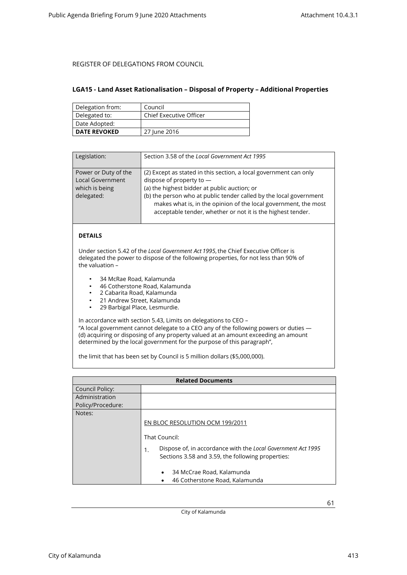#### <span id="page-60-0"></span>**LGA15 - Land Asset Rationalisation – Disposal of Property – Additional Properties**

| Delegation from:    | Council                        |
|---------------------|--------------------------------|
| Delegated to:       | <b>Chief Executive Officer</b> |
| Date Adopted:       |                                |
| <b>DATE REVOKED</b> | 27 June 2016                   |

| Legislation:                                                                    | Section 3.58 of the Local Government Act 1995                                                                                                                                                                                                                                                                                                         |
|---------------------------------------------------------------------------------|-------------------------------------------------------------------------------------------------------------------------------------------------------------------------------------------------------------------------------------------------------------------------------------------------------------------------------------------------------|
| Power or Duty of the<br><b>Local Government</b><br>which is being<br>delegated: | (2) Except as stated in this section, a local government can only<br>dispose of property to -<br>(a) the highest bidder at public auction; or<br>(b) the person who at public tender called by the local government<br>makes what is, in the opinion of the local government, the most<br>acceptable tender, whether or not it is the highest tender. |

### **DETAILS**

Under section 5.42 of the *Local Government Act 1995*, the Chief Executive Officer is delegated the power to dispose of the following properties, for not less than 90% of the valuation –

- 34 McRae Road, Kalamunda
- 46 Cotherstone Road, Kalamunda<br>• 2 Cabarita Boad, Kalamunda
- 2 Cabarita Road, Kalamunda
- 21 Andrew Street, Kalamunda<br>• 29 Barbigal Place, Lesmurdie
- 29 Barbigal Place, Lesmurdie.

In accordance with section 5.43, Limits on delegations to CEO – "A local government cannot delegate to a CEO any of the following powers or duties —

(d) acquiring or disposing of any property valued at an amount exceeding an amount determined by the local government for the purpose of this paragraph",

the limit that has been set by Council is 5 million dollars (\$5,000,000).

|                   | <b>Related Documents</b>                                           |
|-------------------|--------------------------------------------------------------------|
| Council Policy:   |                                                                    |
| Administration    |                                                                    |
| Policy/Procedure: |                                                                    |
| Notes:            |                                                                    |
|                   | EN BLOC RESOLUTION OCM 199/2011                                    |
|                   |                                                                    |
|                   | That Council:                                                      |
|                   | Dispose of, in accordance with the Local Government Act 1995<br>1. |
|                   | Sections 3.58 and 3.59, the following properties:                  |
|                   |                                                                    |
|                   | 34 McCrae Road, Kalamunda<br>$\bullet$                             |
|                   | 46 Cotherstone Road, Kalamunda                                     |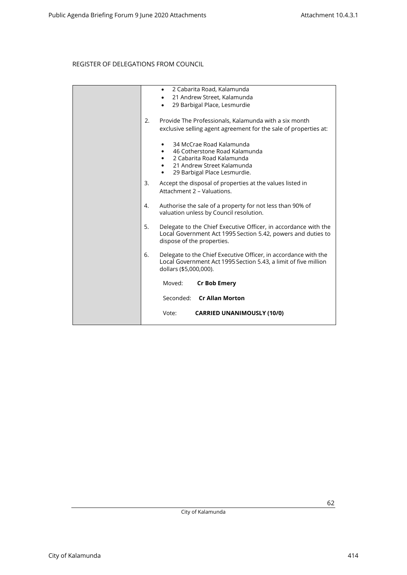|    | 2 Cabarita Road, Kalamunda<br>$\bullet$<br>21 Andrew Street, Kalamunda<br>$\bullet$<br>29 Barbigal Place, Lesmurdie<br>$\bullet$                                       |
|----|------------------------------------------------------------------------------------------------------------------------------------------------------------------------|
| 2. | Provide The Professionals, Kalamunda with a six month<br>exclusive selling agent agreement for the sale of properties at:                                              |
|    | 34 McCrae Road Kalamunda<br>46 Cotherstone Road Kalamunda<br>$\bullet$<br>2 Cabarita Road Kalamunda<br>21 Andrew Street Kalamunda<br>29 Barbigal Place Lesmurdie.<br>٠ |
| 3. | Accept the disposal of properties at the values listed in<br>Attachment 2 - Valuations.                                                                                |
| 4. | Authorise the sale of a property for not less than 90% of<br>valuation unless by Council resolution.                                                                   |
| 5. | Delegate to the Chief Executive Officer, in accordance with the<br>Local Government Act 1995 Section 5.42, powers and duties to<br>dispose of the properties.          |
| 6. | Delegate to the Chief Executive Officer, in accordance with the<br>Local Government Act 1995 Section 5.43, a limit of five million<br>dollars (\$5,000,000).           |
|    | Moved:<br><b>Cr Bob Emery</b>                                                                                                                                          |
|    | Seconded: Cr Allan Morton                                                                                                                                              |
|    | <b>CARRIED UNANIMOUSLY (10/0)</b><br>Vote:                                                                                                                             |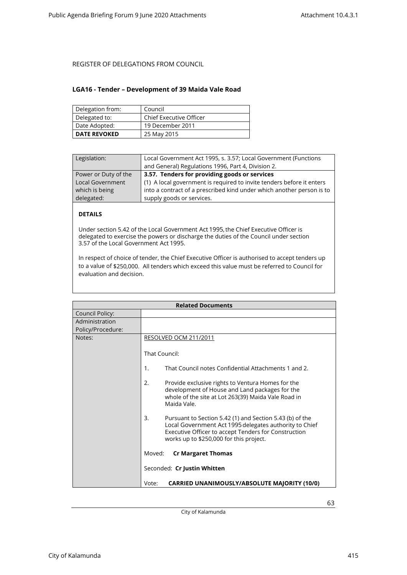#### <span id="page-62-0"></span>**LGA16 - Tender – Development of 39 Maida Vale Road**

| Delegation from:    | Council                 |
|---------------------|-------------------------|
| Delegated to:       | Chief Executive Officer |
| Date Adopted:       | 19 December 2011        |
| <b>DATE REVOKED</b> | 25 May 2015             |

| Legislation:            | Local Government Act 1995, s. 3.57; Local Government (Functions       |
|-------------------------|-----------------------------------------------------------------------|
|                         | and General) Regulations 1996, Part 4, Division 2.                    |
| Power or Duty of the    | 3.57. Tenders for providing goods or services                         |
| <b>Local Government</b> | (1) A local government is required to invite tenders before it enters |
| which is being          | into a contract of a prescribed kind under which another person is to |
| delegated:              | supply goods or services.                                             |
|                         |                                                                       |

### **DETAILS**

Under section 5.42 of the Local Government Act 1995, the Chief Executive Officer is delegated to exercise the powers or discharge the duties of the Council under section 3.57 of the Local Government Act 1995.

In respect of choice of tender, the Chief Executive Officer is authorised to accept tenders up to a value of \$250,000. All tenders which exceed this value must be referred to Council for evaluation and decision.

| <b>Related Documents</b> |                                                                                                                                                                                                                             |
|--------------------------|-----------------------------------------------------------------------------------------------------------------------------------------------------------------------------------------------------------------------------|
| <b>Council Policy:</b>   |                                                                                                                                                                                                                             |
| Administration           |                                                                                                                                                                                                                             |
| Policy/Procedure:        |                                                                                                                                                                                                                             |
| Notes:                   | RESOLVED OCM 211/2011                                                                                                                                                                                                       |
|                          | That Council:                                                                                                                                                                                                               |
|                          | That Council notes Confidential Attachments 1 and 2.<br>1.                                                                                                                                                                  |
|                          | 2.<br>Provide exclusive rights to Ventura Homes for the<br>development of House and Land packages for the<br>whole of the site at Lot 263(39) Maida Vale Road in<br>Maida Vale.                                             |
|                          | 3.<br>Pursuant to Section 5.42 (1) and Section 5.43 (b) of the<br>Local Government Act 1995 delegates authority to Chief<br>Executive Officer to accept Tenders for Construction<br>works up to \$250,000 for this project. |
|                          | Moved:<br><b>Cr Margaret Thomas</b>                                                                                                                                                                                         |
|                          | Seconded: Cr Justin Whitten                                                                                                                                                                                                 |
|                          | <b>CARRIED UNANIMOUSLY/ABSOLUTE MAJORITY (10/0)</b><br>Vote:                                                                                                                                                                |

City of Kalamunda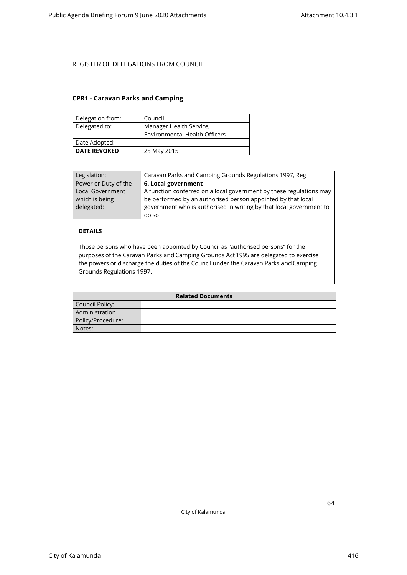### <span id="page-63-0"></span>**CPR1 - Caravan Parks and Camping**

| Delegation from:    | Council                              |
|---------------------|--------------------------------------|
| Delegated to:       | Manager Health Service,              |
|                     | <b>Environmental Health Officers</b> |
| Date Adopted:       |                                      |
| <b>DATE REVOKED</b> | 25 May 2015                          |

| Legislation:                                            | Caravan Parks and Camping Grounds Regulations 1997, Reg                                                                                                                                                             |
|---------------------------------------------------------|---------------------------------------------------------------------------------------------------------------------------------------------------------------------------------------------------------------------|
| Power or Duty of the                                    | 6. Local government                                                                                                                                                                                                 |
| <b>Local Government</b><br>which is being<br>delegated: | A function conferred on a local government by these regulations may<br>be performed by an authorised person appointed by that local<br>government who is authorised in writing by that local government to<br>do so |

### **DETAILS**

Those persons who have been appointed by Council as "authorised persons" for the purposes of the Caravan Parks and Camping Grounds Act 1995 are delegated to exercise the powers or discharge the duties of the Council under the Caravan Parks and Camping Grounds Regulations 1997.

| <b>Related Documents</b> |  |
|--------------------------|--|
| Council Policy:          |  |
| Administration           |  |
| Policy/Procedure:        |  |
| Notes:                   |  |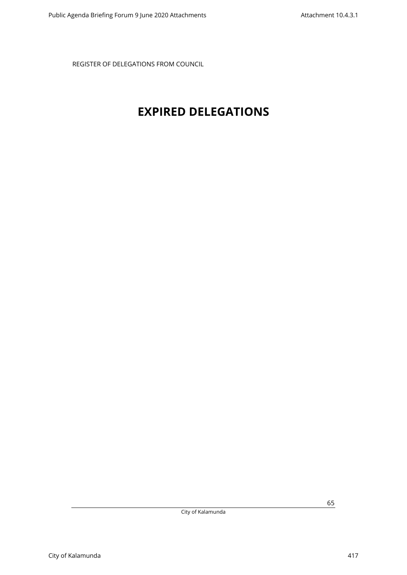## <span id="page-64-0"></span>**EXPIRED DELEGATIONS**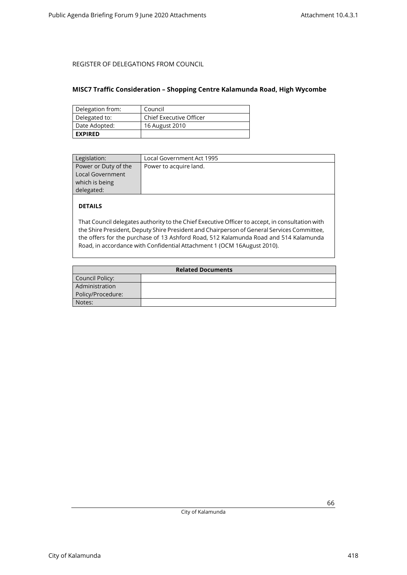### <span id="page-65-0"></span>**MISC7 Traffic Consideration – Shopping Centre Kalamunda Road, High Wycombe**

| Delegation from: | Council                 |
|------------------|-------------------------|
| Delegated to:    | Chief Executive Officer |
| Date Adopted:    | 16 August 2010          |
| <b>EXPIRED</b>   |                         |

| Legislation:         | Local Government Act 1995 |
|----------------------|---------------------------|
| Power or Duty of the | Power to acquire land.    |
| Local Government     |                           |
| which is being       |                           |
| delegated:           |                           |
|                      |                           |

### **DETAILS**

That Council delegates authority to the Chief Executive Officer to accept, in consultation with the Shire President, Deputy Shire President and Chairperson of General Services Committee, the offers for the purchase of 13 Ashford Road, 512 Kalamunda Road and 514 Kalamunda Road, in accordance with Confidential Attachment 1 (OCM 16August 2010).

| <b>Related Documents</b> |  |
|--------------------------|--|
| Council Policy:          |  |
| Administration           |  |
| Policy/Procedure:        |  |
| Notes:                   |  |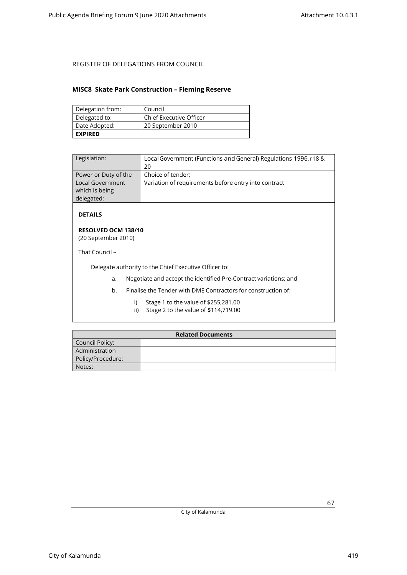### <span id="page-66-0"></span>**MISC8 Skate Park Construction – Fleming Reserve**

| Delegation from: | Council                 |
|------------------|-------------------------|
| Delegated to:    | Chief Executive Officer |
| Date Adopted:    | 20 September 2010       |
| <b>EXPIRED</b>   |                         |

| Legislation:                                                                    | Local Government (Functions and General) Regulations 1996, r18 &<br>20    |
|---------------------------------------------------------------------------------|---------------------------------------------------------------------------|
| Power or Duty of the<br><b>Local Government</b><br>which is being<br>delegated: | Choice of tender;<br>Variation of requirements before entry into contract |

**DETAILS**

#### **RESOLVED OCM 138/10** (20 September 2010)

That Council –

Delegate authority to the Chief Executive Officer to:

- a. Negotiate and accept the identified Pre-Contract variations; and
- b. Finalise the Tender with DME Contractors for construction of:
	- i) Stage 1 to the value of \$255,281.00
	- ii) Stage 2 to the value of \$114,719.00

| <b>Related Documents</b> |  |
|--------------------------|--|
| Council Policy:          |  |
| Administration           |  |
| Policy/Procedure:        |  |
| Notes:                   |  |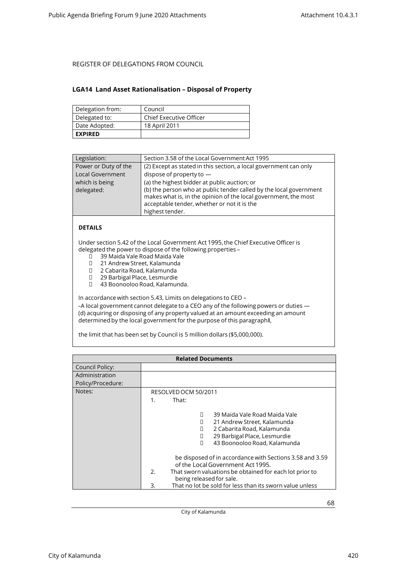#### <span id="page-67-0"></span>**LGA14 Land Asset Rationalisation – Disposal of Property**

| Delegation from: | Council                        |
|------------------|--------------------------------|
| Delegated to:    | <b>Chief Executive Officer</b> |
| Date Adopted:    | 18 April 2011                  |
| <b>EXPIRED</b>   |                                |

| Legislation:            | Section 3.58 of the Local Government Act 1995                                                                                                                                                           |
|-------------------------|---------------------------------------------------------------------------------------------------------------------------------------------------------------------------------------------------------|
| Power or Duty of the    | (2) Except as stated in this section, a local government can only                                                                                                                                       |
| <b>Local Government</b> | dispose of property to $-$                                                                                                                                                                              |
| which is being          | (a) the highest bidder at public auction; or                                                                                                                                                            |
| delegated:              | (b) the person who at public tender called by the local government<br>makes what is, in the opinion of the local government, the most<br>acceptable tender, whether or not it is the<br>highest tender. |

### **DETAILS**

Under section 5.42 of the Local Government Act 1995, the Chief Executive Officer is delegated the power to dispose of the following properties –<br>  $\Box$  39 Maida Vale Road Maida Vale

- 39 Maida Vale Road Maida Vale
- □ 21 Andrew Street, Kalamunda<br>□ 2 Cabarita Road. Kalamunda
- 2 Cabarita Road, Kalamunda
- 29 Barbigal Place, Lesmurdie
- 43 Boonooloo Road, Kalamunda.

In accordance with section 5.43, Limits on delegations to CEO –

-A local government cannot delegate to a CEO any of the following powers or duties -(d) acquiring or disposing of any property valued at an amount exceeding an amount determined by the local government for the purpose of this paragraph‖,

the limit that has been set by Council is 5 million dollars (\$5,000,000).

| <b>Related Documents</b> |                                                                                                                                                                                                                                                                                                                                                                                                                                                     |
|--------------------------|-----------------------------------------------------------------------------------------------------------------------------------------------------------------------------------------------------------------------------------------------------------------------------------------------------------------------------------------------------------------------------------------------------------------------------------------------------|
| Council Policy:          |                                                                                                                                                                                                                                                                                                                                                                                                                                                     |
| Administration           |                                                                                                                                                                                                                                                                                                                                                                                                                                                     |
| Policy/Procedure:        |                                                                                                                                                                                                                                                                                                                                                                                                                                                     |
| Notes:                   | RESOLVED OCM 50/2011                                                                                                                                                                                                                                                                                                                                                                                                                                |
|                          | That:<br>1.                                                                                                                                                                                                                                                                                                                                                                                                                                         |
|                          | 39 Maida Vale Road Maida Vale<br>П<br>21 Andrew Street, Kalamunda<br>П<br>2 Cabarita Road, Kalamunda<br>п<br>29 Barbigal Place, Lesmurdie<br>П<br>43 Boonooloo Road, Kalamunda<br>П<br>be disposed of in accordance with Sections 3.58 and 3.59<br>of the Local Government Act 1995.<br>2.<br>That sworn valuations be obtained for each lot prior to<br>being released for sale.<br>That no lot be sold for less than its sworn value unless<br>3. |

City of Kalamunda